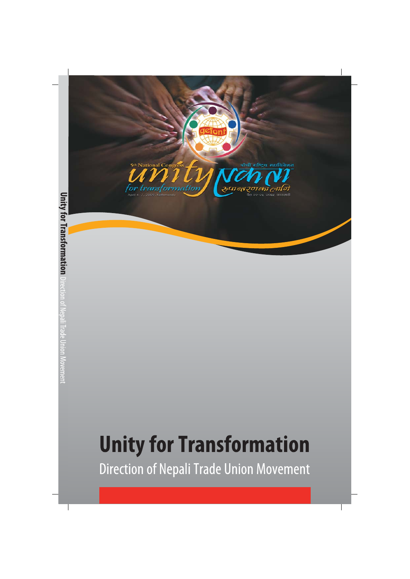

# **Unity for Transformation Direction of Nepali Trade Union Movement**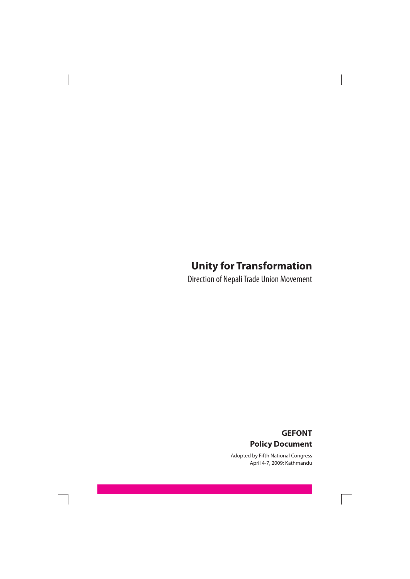### **Unity for Transformation**

Direction of Nepali Trade Union Movement

### **GEFONT Policy Document**

Adopted by Fifth National Congress April 4-7, 2009; Kathmandu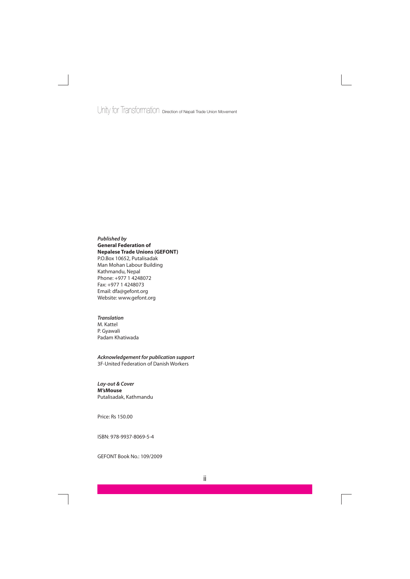*Published by* **General Federation of Nepalese Trade Unions (GEFONT)** P.O.Box 10652, Putalisadak Man Mohan Labour Building Kathmandu, Nepal Phone: +977 1 4248072 Fax: +977 1 4248073 Email: dfa@gefont.org Website: www.gefont.org

#### *Translation*

M. Kattel P. Gyawali Padam Khatiwada

#### *Acknowledgement for publication support*

3F-United Federation of Danish Workers

*Lay-out & Cover* **M'sMouse** Putalisadak, Kathmandu

Price: Rs 150.00

ISBN: 978-9937-8069-5-4

GEFONT Book No.: 109/2009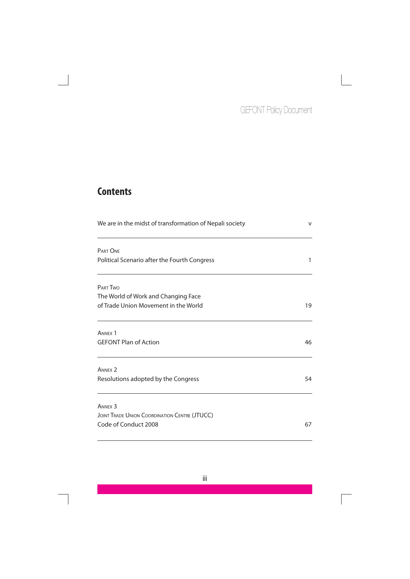### **Contents**

| We are in the midst of transformation of Nepali society | v  |  |  |  |
|---------------------------------------------------------|----|--|--|--|
| PART ONE                                                |    |  |  |  |
| Political Scenario after the Fourth Congress            | 1  |  |  |  |
| PART TWO                                                |    |  |  |  |
| The World of Work and Changing Face                     |    |  |  |  |
| of Trade Union Movement in the World                    | 19 |  |  |  |
| ANNEX <sub>1</sub>                                      |    |  |  |  |
| <b>GEFONT Plan of Action</b>                            | 46 |  |  |  |
| ANNEX <sub>2</sub>                                      |    |  |  |  |
| Resolutions adopted by the Congress                     | 54 |  |  |  |
| ANNEX <sub>3</sub>                                      |    |  |  |  |
| <b>JOINT TRADE UNION COORDINATION CENTRE (JTUCC)</b>    |    |  |  |  |
| Code of Conduct 2008                                    | 67 |  |  |  |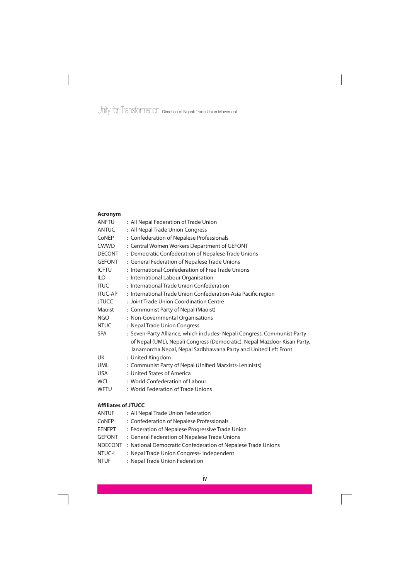### Unity for Transformation Direction of Nepali Trade Union Movement

#### **Acronym**

| <b>ANFTU</b>   | : All Nepal Federation of Trade Union                                    |
|----------------|--------------------------------------------------------------------------|
| ANTUC          | : All Nepal Trade Union Congress                                         |
| CoNEP          | : Confederation of Nepalese Professionals                                |
| <b>CWWD</b>    | : Central Women Workers Department of GEFONT                             |
| <b>DECONT</b>  | : Democratic Confederation of Nepalese Trade Unions                      |
| <b>GEFONT</b>  | : General Federation of Nepalese Trade Unions                            |
| <b>ICFTU</b>   | : International Confederation of Free Trade Unions                       |
| <b>ILO</b>     | : International Labour Organisation                                      |
| <b>ITUC</b>    | : International Trade Union Confederation                                |
| <b>ITUC-AP</b> | : International Trade Union Confederation-Asia Pacific region            |
| <b>JTUCC</b>   | : Joint Trade Union Coordination Centre                                  |
| Maoist         | : Communist Party of Nepal (Maoist)                                      |
| NGO            | : Non-Governmental Organisations                                         |
| <b>NTUC</b>    | : Nepal Trade Union Congress                                             |
| <b>SPA</b>     | : Seven-Party Alliance, which includes- Nepali Congress, Communist Party |
|                | of Nepal (UML), Nepali Congress (Democratic), Nepal Mazdoor Kisan Party, |
|                | Janamorcha Nepal, Nepal Sadbhawana Party and United Left Front           |
| <b>UK</b>      | : United Kingdom                                                         |
| <b>UML</b>     | : Communist Party of Nepal (Unified Marxists-Leninists)                  |
| <b>USA</b>     | : United States of America                                               |
| <b>WCL</b>     | : World Confederation of Labour                                          |
| <b>WFTU</b>    | : World Federation of Trade Unions                                       |

#### **Affiliates of JTUCC**

| <b>ANTUF</b> | : All Nepal Trade Union Federation                                   |
|--------------|----------------------------------------------------------------------|
| CoNEP        | : Confederation of Nepalese Professionals                            |
| FENEPT       | : Federation of Nepalese Progressive Trade Union                     |
| GEFONT       | : General Federation of Nepalese Trade Unions                        |
|              | NDECONT : National Democratic Confederation of Nepalese Trade Unions |
| NTUC-I       | : Nepal Trade Union Congress-Independent                             |
| <b>NTUF</b>  | : Nepal Trade Union Federation                                       |

iv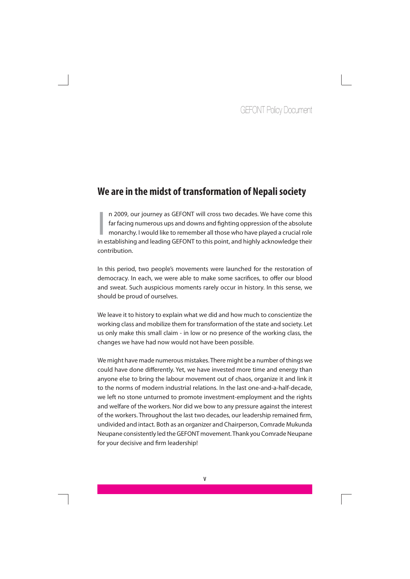### **We are in the midst of transformation of Nepali society**

 $\overline{\mathbf{I}}$ n 2009, our journey as GEFONT will cross two decades. We have come this far facing numerous ups and downs and fighting oppression of the absolute monarchy. I would like to remember all those who have played a crucial role in establishing and leading GEFONT to this point, and highly acknowledge their contribution.

In this period, two people's movements were launched for the restoration of democracy. In each, we were able to make some sacrifices, to offer our blood and sweat. Such auspicious moments rarely occur in history. In this sense, we should be proud of ourselves.

We leave it to history to explain what we did and how much to conscientize the working class and mobilize them for transformation of the state and society. Let us only make this small claim - in low or no presence of the working class, the changes we have had now would not have been possible.

We might have made numerous mistakes. There might be a number of things we could have done differently. Yet, we have invested more time and energy than anyone else to bring the labour movement out of chaos, organize it and link it to the norms of modern industrial relations. In the last one-and-a-half-decade, we left no stone unturned to promote investment-employment and the rights and welfare of the workers. Nor did we bow to any pressure against the interest of the workers. Throughout the last two decades, our leadership remained firm, undivided and intact. Both as an organizer and Chairperson, Comrade Mukunda Neupane consistently led the GEFONT movement. Thank you Comrade Neupane for your decisive and firm leadership!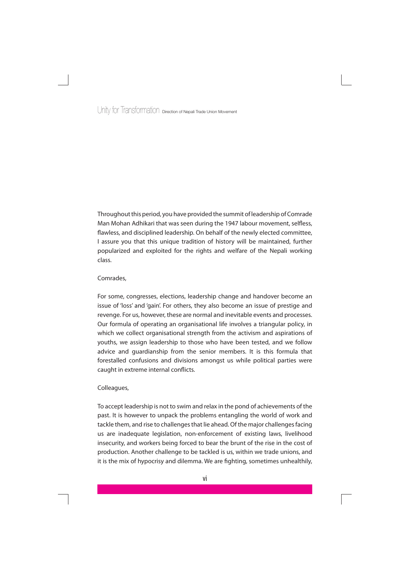Throughout this period, you have provided the summit of leadership of Comrade Man Mohan Adhikari that was seen during the 1947 labour movement, selfless, flawless, and disciplined leadership. On behalf of the newly elected committee, I assure you that this unique tradition of history will be maintained, further popularized and exploited for the rights and welfare of the Nepali working class.

#### Comrades,

For some, congresses, elections, leadership change and handover become an issue of 'loss' and 'gain'. For others, they also become an issue of prestige and revenge. For us, however, these are normal and inevitable events and processes. Our formula of operating an organisational life involves a triangular policy, in which we collect organisational strength from the activism and aspirations of youths, we assign leadership to those who have been tested, and we follow advice and guardianship from the senior members. It is this formula that forestalled confusions and divisions amongst us while political parties were caught in extreme internal conflicts.

#### Colleagues,

To accept leadership is not to swim and relax in the pond of achievements of the past. It is however to unpack the problems entangling the world of work and tackle them, and rise to challenges that lie ahead. Of the major challenges facing us are inadequate legislation, non-enforcement of existing laws, livelihood insecurity, and workers being forced to bear the brunt of the rise in the cost of production. Another challenge to be tackled is us, within we trade unions, and it is the mix of hypocrisy and dilemma. We are fighting, sometimes unhealthily,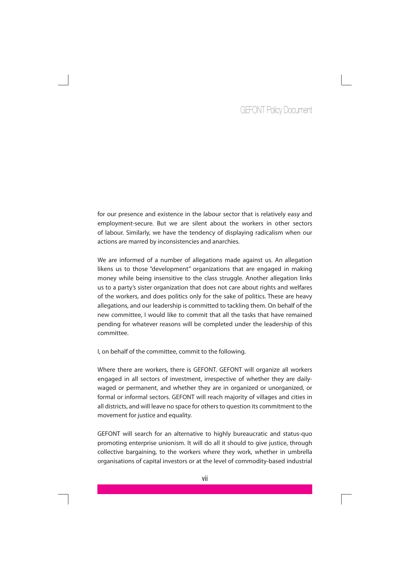for our presence and existence in the labour sector that is relatively easy and employment-secure. But we are silent about the workers in other sectors of labour. Similarly, we have the tendency of displaying radicalism when our actions are marred by inconsistencies and anarchies.

We are informed of a number of allegations made against us. An allegation likens us to those "development" organizations that are engaged in making money while being insensitive to the class struggle. Another allegation links us to a party's sister organization that does not care about rights and welfares of the workers, and does politics only for the sake of politics. These are heavy allegations, and our leadership is committed to tackling them. On behalf of the new committee, I would like to commit that all the tasks that have remained pending for whatever reasons will be completed under the leadership of this committee.

I, on behalf of the committee, commit to the following.

Where there are workers, there is GEFONT. GEFONT will organize all workers engaged in all sectors of investment, irrespective of whether they are dailywaged or permanent, and whether they are in organized or unorganized, or formal or informal sectors. GEFONT will reach majority of villages and cities in all districts, and will leave no space for others to question its commitment to the movement for justice and equality.

GEFONT will search for an alternative to highly bureaucratic and status-quo promoting enterprise unionism. It will do all it should to give justice, through collective bargaining, to the workers where they work, whether in umbrella organisations of capital investors or at the level of commodity-based industrial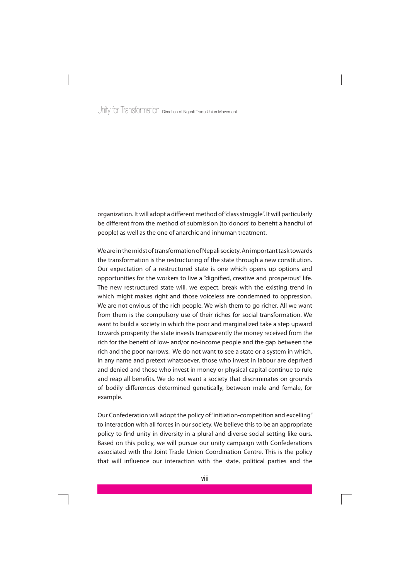organization. It will adopt a different method of "class struggle". It will particularly be different from the method of submission (to 'donors' to benefit a handful of people) as well as the one of anarchic and inhuman treatment.

We are in the midst of transformation of Nepali society. An important task towards the transformation is the restructuring of the state through a new constitution. Our expectation of a restructured state is one which opens up options and opportunities for the workers to live a "dignified, creative and prosperous" life. The new restructured state will, we expect, break with the existing trend in which might makes right and those voiceless are condemned to oppression. We are not envious of the rich people. We wish them to go richer. All we want from them is the compulsory use of their riches for social transformation. We want to build a society in which the poor and marginalized take a step upward towards prosperity the state invests transparently the money received from the rich for the benefit of low- and/or no-income people and the gap between the rich and the poor narrows. We do not want to see a state or a system in which, in any name and pretext whatsoever, those who invest in labour are deprived and denied and those who invest in money or physical capital continue to rule and reap all benefits. We do not want a society that discriminates on grounds of bodily differences determined genetically, between male and female, for example.

Our Confederation will adopt the policy of "initiation-competition and excelling" to interaction with all forces in our society. We believe this to be an appropriate policy to find unity in diversity in a plural and diverse social setting like ours. Based on this policy, we will pursue our unity campaign with Confederations associated with the Joint Trade Union Coordination Centre. This is the policy that will influence our interaction with the state, political parties and the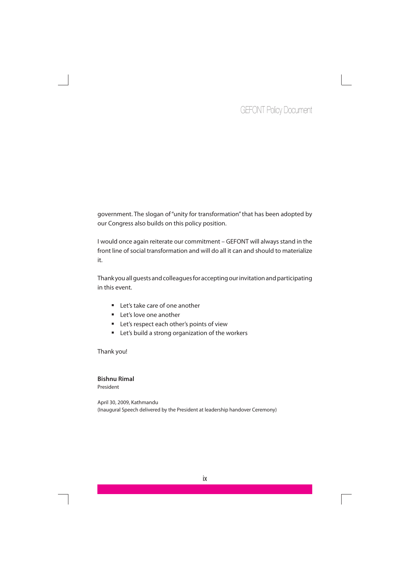government. The slogan of "unity for transformation" that has been adopted by our Congress also builds on this policy position.

I would once again reiterate our commitment – GEFONT will always stand in the front line of social transformation and will do all it can and should to materialize it.

Thank you all guests and colleagues for accepting our invitation and participating in this event.

- $\blacksquare$  Let's take care of one another
- $\blacksquare$  Let's love one another
- **Let's respect each other's points of view**
- Let's build a strong organization of the workers

Thank you!

**Bishnu Rimal**

President

April 30, 2009, Kathmandu (Inaugural Speech delivered by the President at leadership handover Ceremony)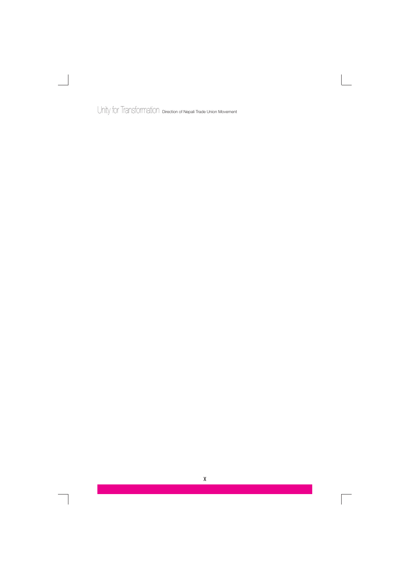Unity for Transformation Direction of Nepali Trade Union Movement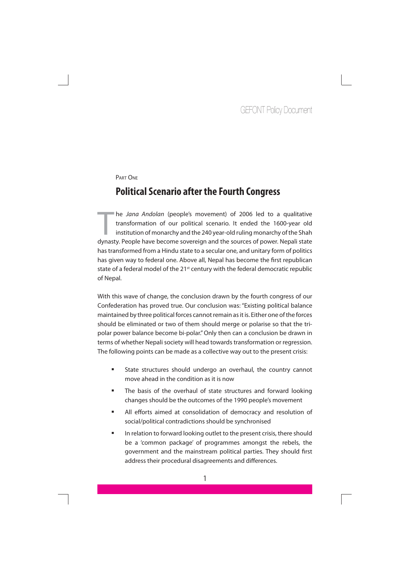#### PART ONE

### **Political Scenario after the Fourth Congress**

T he Jana Andolan (people's movement) of 2006 led to a qualitative transformation of our political scenario. It ended the 1600-year old institution of monarchy and the 240 year-old ruling monarchy of the Shah dynasty. People have become sovereign and the sources of power. Nepali state has transformed from a Hindu state to a secular one, and unitary form of politics has given way to federal one. Above all, Nepal has become the first republican state of a federal model of the 21<sup>st</sup> century with the federal democratic republic of Nepal.

With this wave of change, the conclusion drawn by the fourth congress of our Confederation has proved true. Our conclusion was: "Existing political balance maintained by three political forces cannot remain as it is. Either one of the forces should be eliminated or two of them should merge or polarise so that the tripolar power balance become bi-polar." Only then can a conclusion be drawn in terms of whether Nepali society will head towards transformation or regression. The following points can be made as a collective way out to the present crisis:

- State structures should undergo an overhaul, the country cannot move ahead in the condition as it is now
- **The basis of the overhaul of state structures and forward looking** changes should be the outcomes of the 1990 people's movement
- **All efforts aimed at consolidation of democracy and resolution of** social/political contradictions should be synchronised
- In relation to forward looking outlet to the present crisis, there should be a 'common package' of programmes amongst the rebels, the government and the mainstream political parties. They should first address their procedural disagreements and differences.

1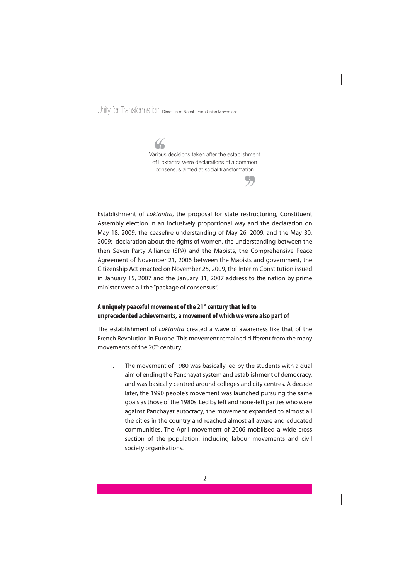

Establishment of Loktantra, the proposal for state restructuring, Constituent Assembly election in an inclusively proportional way and the declaration on May 18, 2009, the ceasefire understanding of May 26, 2009, and the May 30, 2009; declaration about the rights of women, the understanding between the then Seven-Party Alliance (SPA) and the Maoists, the Comprehensive Peace Agreement of November 21, 2006 between the Maoists and government, the Citizenship Act enacted on November 25, 2009, the Interim Constitution issued in January 15, 2007 and the January 31, 2007 address to the nation by prime minister were all the "package of consensus".

#### **A uniquely peaceful movement of the 21st century that led to unprecedented achievements, a movement of which we were also part of**

The establishment of Loktantra created a wave of awareness like that of the French Revolution in Europe. This movement remained different from the many movements of the 20<sup>th</sup> century.

i. The movement of 1980 was basically led by the students with a dual aim of ending the Panchayat system and establishment of democracy, and was basically centred around colleges and city centres. A decade later, the 1990 people's movement was launched pursuing the same goals as those of the 1980s. Led by left and none-left parties who were against Panchayat autocracy, the movement expanded to almost all the cities in the country and reached almost all aware and educated communities. The April movement of 2006 mobilised a wide cross section of the population, including labour movements and civil society organisations.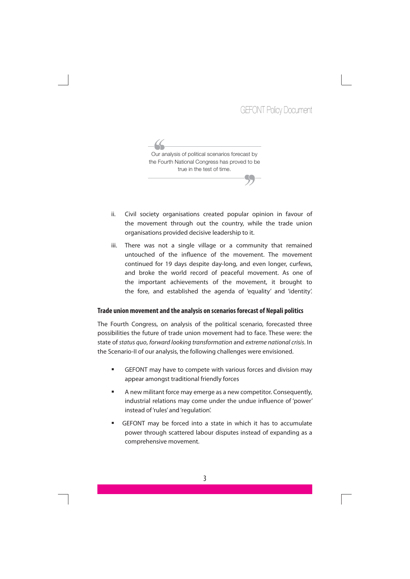

- ii. Civil society organisations created popular opinion in favour of the movement through out the country, while the trade union organisations provided decisive leadership to it.
- iii. There was not a single village or a community that remained untouched of the influence of the movement. The movement continued for 19 days despite day-long, and even longer, curfews, and broke the world record of peaceful movement. As one of the important achievements of the movement, it brought to the fore, and established the agenda of 'equality' and 'identity'.

#### **Trade union movement and the analysis on scenarios forecast of Nepali politics**

The Fourth Congress, on analysis of the political scenario, forecasted three possibilities the future of trade union movement had to face. These were: the state of status quo, forward looking transformation and extreme national crisis. In the Scenario-II of our analysis, the following challenges were envisioned.

- GEFONT may have to compete with various forces and division may appear amongst traditional friendly forces
- A new militant force may emerge as a new competitor. Consequently, industrial relations may come under the undue influence of 'power' instead of 'rules' and 'regulation'.
- GEFONT may be forced into a state in which it has to accumulate power through scattered labour disputes instead of expanding as a comprehensive movement.

3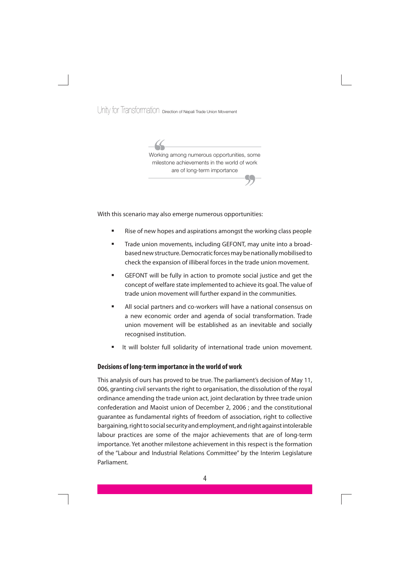

With this scenario may also emerge numerous opportunities:

- Rise of new hopes and aspirations amongst the working class people
- **Trade union movements, including GEFONT, may unite into a broad**based new structure. Democratic forces may be nationally mobilised to check the expansion of illiberal forces in the trade union movement.
- GEFONT will be fully in action to promote social justice and get the concept of welfare state implemented to achieve its goal. The value of trade union movement will further expand in the communities.
- All social partners and co-workers will have a national consensus on a new economic order and agenda of social transformation. Trade union movement will be established as an inevitable and socially recognised institution.
- **If will bolster full solidarity of international trade union movement.**

#### **Decisions of long-term importance in the world of work**

This analysis of ours has proved to be true. The parliament's decision of May 11, 006, granting civil servants the right to organisation, the dissolution of the royal ordinance amending the trade union act, joint declaration by three trade union confederation and Maoist union of December 2, 2006 ; and the constitutional guarantee as fundamental rights of freedom of association, right to collective bargaining, right to social security and employment, and right against intolerable labour practices are some of the major achievements that are of long-term importance. Yet another milestone achievement in this respect is the formation of the "Labour and Industrial Relations Committee" by the Interim Legislature Parliament.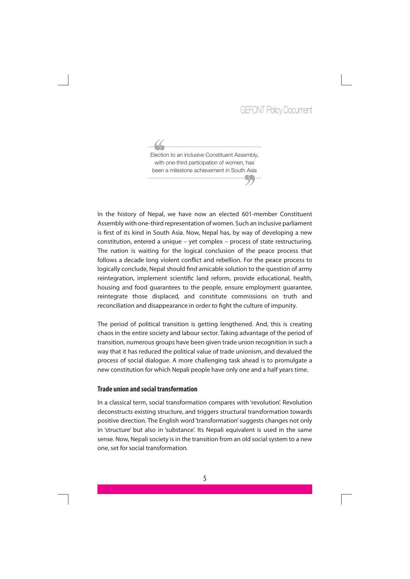Election to an inclusive Constituent Assembly, with one-third participation of women, has been a milestone achievement in South Asia

In the history of Nepal, we have now an elected 601-member Constituent Assembly with one-third representation of women. Such an inclusive parliament is first of its kind in South Asia. Now, Nepal has, by way of developing a new constitution, entered a unique – yet complex – process of state restructuring. The nation is waiting for the logical conclusion of the peace process that follows a decade long violent conflict and rebellion. For the peace process to logically conclude, Nepal should find amicable solution to the question of army reintegration, implement scientific land reform, provide educational, health, housing and food guarantees to the people, ensure employment guarantee, reintegrate those displaced, and constitute commissions on truth and reconciliation and disappearance in order to fight the culture of impunity.

The period of political transition is getting lengthened. And, this is creating chaos in the entire society and labour sector. Taking advantage of the period of transition, numerous groups have been given trade union recognition in such a way that it has reduced the political value of trade unionism, and devalued the process of social dialogue. A more challenging task ahead is to promulgate a new constitution for which Nepali people have only one and a half years time.

#### **Trade union and social transformation**

In a classical term, social transformation compares with 'revolution'. Revolution deconstructs existing structure, and triggers structural transformation towards positive direction. The English word 'transformation' suggests changes not only in 'structure' but also in 'substance'. Its Nepali equivalent is used in the same sense. Now, Nepali society is in the transition from an old social system to a new one, set for social transformation.

5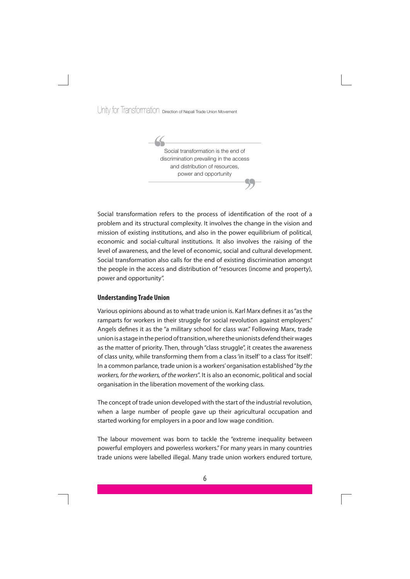Social transformation is the end of discrimination prevailing in the access and distribution of resources, power and opportunity

Social transformation refers to the process of identification of the root of a problem and its structural complexity. It involves the change in the vision and mission of existing institutions, and also in the power equilibrium of political, economic and social-cultural institutions. It also involves the raising of the level of awareness, and the level of economic, social and cultural development. Social transformation also calls for the end of existing discrimination amongst the people in the access and distribution of "resources (income and property), power and opportunity".

#### **Understanding Trade Union**

Various opinions abound as to what trade union is. Karl Marx defines it as "as the ramparts for workers in their struggle for social revolution against employers." Angels defines it as the "a military school for class war." Following Marx, trade union is a stage in the period of transition, where the unionists defend their wages as the matter of priority. Then, through "class struggle", it creates the awareness of class unity, while transforming them from a class 'in itself' to a class 'for itself'. In a common parlance, trade union is a workers' organisation established "by the workers, for the workers, of the workers". It is also an economic, political and social organisation in the liberation movement of the working class.

The concept of trade union developed with the start of the industrial revolution, when a large number of people gave up their agricultural occupation and started working for employers in a poor and low wage condition.

The labour movement was born to tackle the "extreme inequality between powerful employers and powerless workers." For many years in many countries trade unions were labelled illegal. Many trade union workers endured torture,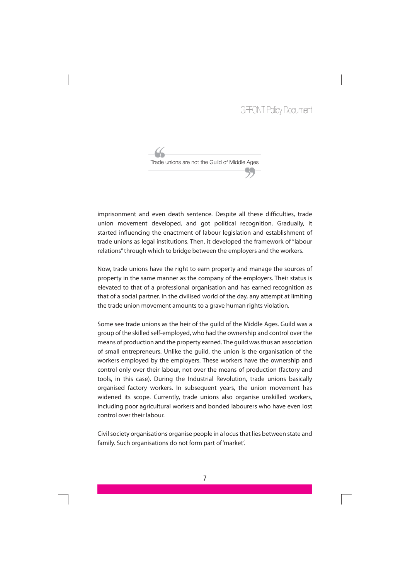Trade unions are not the Guild of Middle Ages

imprisonment and even death sentence. Despite all these difficulties, trade union movement developed, and got political recognition. Gradually, it started influencing the enactment of labour legislation and establishment of trade unions as legal institutions. Then, it developed the framework of "labour relations" through which to bridge between the employers and the workers.

Now, trade unions have the right to earn property and manage the sources of property in the same manner as the company of the employers. Their status is elevated to that of a professional organisation and has earned recognition as that of a social partner. In the civilised world of the day, any attempt at limiting the trade union movement amounts to a grave human rights violation.

Some see trade unions as the heir of the guild of the Middle Ages. Guild was a group of the skilled self-employed, who had the ownership and control over the means of production and the property earned. The guild was thus an association of small entrepreneurs. Unlike the guild, the union is the organisation of the workers employed by the employers. These workers have the ownership and control only over their labour, not over the means of production (factory and tools, in this case). During the Industrial Revolution, trade unions basically organised factory workers. In subsequent years, the union movement has widened its scope. Currently, trade unions also organise unskilled workers, including poor agricultural workers and bonded labourers who have even lost control over their labour.

Civil society organisations organise people in a locus that lies between state and family. Such organisations do not form part of 'market'.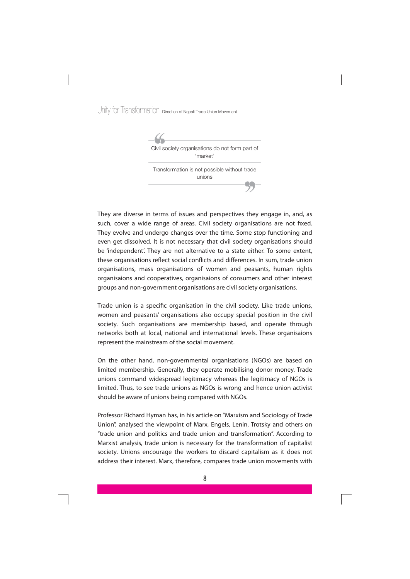

They are diverse in terms of issues and perspectives they engage in, and, as such, cover a wide range of areas. Civil society organisations are not fixed. They evolve and undergo changes over the time. Some stop functioning and even get dissolved. It is not necessary that civil society organisations should be 'independent'. They are not alternative to a state either. To some extent, these organisations reflect social conflicts and differences. In sum, trade union organisations, mass organisations of women and peasants, human rights organisaions and cooperatives, organisaions of consumers and other interest groups and non-government organisations are civil society organisations.

Trade union is a specific organisation in the civil society. Like trade unions, women and peasants' organisations also occupy special position in the civil society. Such organisations are membership based, and operate through networks both at local, national and international levels. These organisaions represent the mainstream of the social movement.

On the other hand, non-governmental organisations (NGOs) are based on limited membership. Generally, they operate mobilising donor money. Trade unions command widespread legitimacy whereas the legitimacy of NGOs is limited. Thus, to see trade unions as NGOs is wrong and hence union activist should be aware of unions being compared with NGOs.

Professor Richard Hyman has, in his article on "Marxism and Sociology of Trade Union", analysed the viewpoint of Marx, Engels, Lenin, Trotsky and others on "trade union and politics and trade union and transformation". According to Marxist analysis, trade union is necessary for the transformation of capitalist society. Unions encourage the workers to discard capitalism as it does not address their interest. Marx, therefore, compares trade union movements with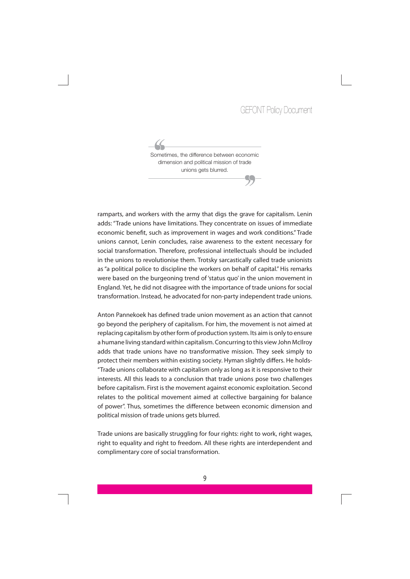Sometimes, the difference between economic dimension and political mission of trade unions gets blurred.

ramparts, and workers with the army that digs the grave for capitalism. Lenin adds: "Trade unions have limitations. They concentrate on issues of immediate economic benefit, such as improvement in wages and work conditions." Trade unions cannot, Lenin concludes, raise awareness to the extent necessary for social transformation. Therefore, professional intellectuals should be included in the unions to revolutionise them. Trotsky sarcastically called trade unionists as "a political police to discipline the workers on behalf of capital." His remarks were based on the burgeoning trend of 'status quo' in the union movement in England. Yet, he did not disagree with the importance of trade unions for social transformation. Instead, he advocated for non-party independent trade unions.

Anton Pannekoek has defined trade union movement as an action that cannot go beyond the periphery of capitalism. For him, the movement is not aimed at replacing capitalism by other form of production system. Its aim is only to ensure a humane living standard within capitalism. Concurring to this view John McIlroy adds that trade unions have no transformative mission. They seek simply to protect their members within existing society. Hyman slightly differs. He holds-"Trade unions collaborate with capitalism only as long as it is responsive to their interests. All this leads to a conclusion that trade unions pose two challenges before capitalism. First is the movement against economic exploitation. Second relates to the political movement aimed at collective bargaining for balance of power". Thus, sometimes the difference between economic dimension and political mission of trade unions gets blurred.

Trade unions are basically struggling for four rights: right to work, right wages, right to equality and right to freedom. All these rights are interdependent and complimentary core of social transformation.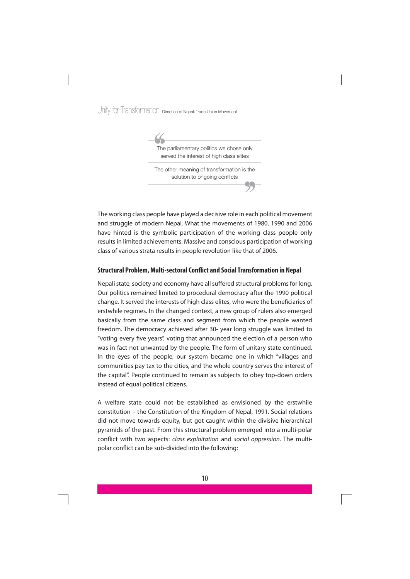

The working class people have played a decisive role in each political movement and struggle of modern Nepal. What the movements of 1980, 1990 and 2006 have hinted is the symbolic participation of the working class people only results in limited achievements. Massive and conscious participation of working class of various strata results in people revolution like that of 2006.

### **Structural Problem, Multi-sectoral Conflict and Social Transformation in Nepal**

Nepali state, society and economy have all suffered structural problems for long. Our politics remained limited to procedural democracy after the 1990 political change. It served the interests of high class elites, who were the beneficiaries of erstwhile regimes. In the changed context, a new group of rulers also emerged basically from the same class and segment from which the people wanted freedom. The democracy achieved after 30- year long struggle was limited to "voting every five years", voting that announced the election of a person who was in fact not unwanted by the people. The form of unitary state continued. In the eyes of the people, our system became one in which "villages and communities pay tax to the cities, and the whole country serves the interest of the capital". People continued to remain as subjects to obey top-down orders instead of equal political citizens.

A welfare state could not be established as envisioned by the erstwhile constitution – the Constitution of the Kingdom of Nepal, 1991. Social relations did not move towards equity, but got caught within the divisive hierarchical pyramids of the past. From this structural problem emerged into a multi-polar conflict with two aspects: class exploitation and social oppression. The multipolar conflict can be sub-divided into the following: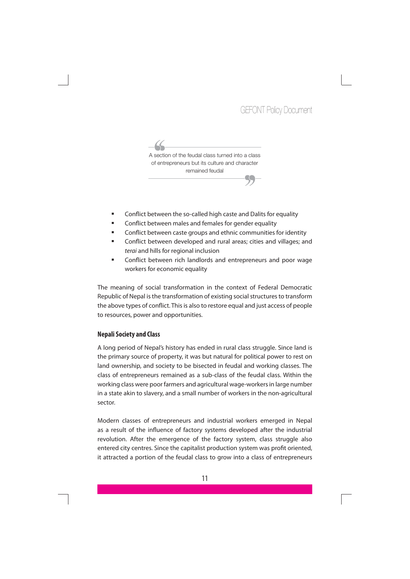

- **EXECONFERGIVE CONFLICT EXECONFERGIVE CONFLICT** Conflict between the so-called high caste and Dalits for equality
- **EXECONFLICT CONFLICT EXECONFIELD** Conflict between males and females for gender equality
- Conflict between caste groups and ethnic communities for identity
- Confl ict between developed and rural areas; cities and villages; and terai and hills for regional inclusion
- Confl ict between rich landlords and entrepreneurs and poor wage workers for economic equality

The meaning of social transformation in the context of Federal Democratic Republic of Nepal is the transformation of existing social structures to transform the above types of conflict. This is also to restore equal and just access of people to resources, power and opportunities.

#### **Nepali Society and Class**

A long period of Nepal's history has ended in rural class struggle. Since land is the primary source of property, it was but natural for political power to rest on land ownership, and society to be bisected in feudal and working classes. The class of entrepreneurs remained as a sub-class of the feudal class. Within the working class were poor farmers and agricultural wage-workers in large number in a state akin to slavery, and a small number of workers in the non-agricultural sector.

Modern classes of entrepreneurs and industrial workers emerged in Nepal as a result of the influence of factory systems developed after the industrial revolution. After the emergence of the factory system, class struggle also entered city centres. Since the capitalist production system was profit oriented, it attracted a portion of the feudal class to grow into a class of entrepreneurs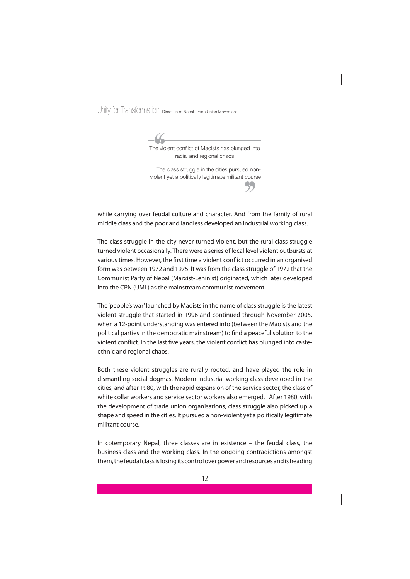

The violent conflict of Maoists has plunged into racial and regional chaos

The class struggle in the cities pursued nonviolent yet a politically legitimate militant course

while carrying over feudal culture and character. And from the family of rural middle class and the poor and landless developed an industrial working class.

The class struggle in the city never turned violent, but the rural class struggle turned violent occasionally. There were a series of local level violent outbursts at various times. However, the first time a violent conflict occurred in an organised form was between 1972 and 1975. It was from the class struggle of 1972 that the Communist Party of Nepal (Marxist-Leninist) originated, which later developed into the CPN (UML) as the mainstream communist movement.

The 'people's war' launched by Maoists in the name of class struggle is the latest violent struggle that started in 1996 and continued through November 2005, when a 12-point understanding was entered into (between the Maoists and the political parties in the democratic mainstream) to find a peaceful solution to the violent conflict. In the last five years, the violent conflict has plunged into casteethnic and regional chaos.

Both these violent struggles are rurally rooted, and have played the role in dismantling social dogmas. Modern industrial working class developed in the cities, and after 1980, with the rapid expansion of the service sector, the class of white collar workers and service sector workers also emerged. After 1980, with the development of trade union organisations, class struggle also picked up a shape and speed in the cities. It pursued a non-violent yet a politically legitimate militant course.

In cotemporary Nepal, three classes are in existence – the feudal class, the business class and the working class. In the ongoing contradictions amongst them, the feudal class is losing its control over power and resources and is heading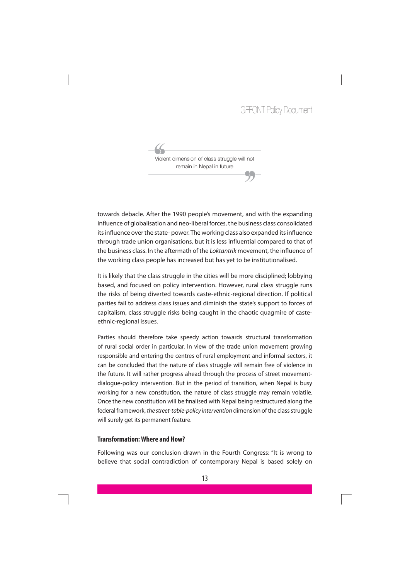Violent dimension of class struggle will not remain in Nepal in future

towards debacle. After the 1990 people's movement, and with the expanding influence of globalisation and neo-liberal forces, the business class consolidated its influence over the state- power. The working class also expanded its influence through trade union organisations, but it is less influential compared to that of the business class. In the aftermath of the Loktantrik movement, the influence of the working class people has increased but has yet to be institutionalised.

It is likely that the class struggle in the cities will be more disciplined; lobbying based, and focused on policy intervention. However, rural class struggle runs the risks of being diverted towards caste-ethnic-regional direction. If political parties fail to address class issues and diminish the state's support to forces of capitalism, class struggle risks being caught in the chaotic quagmire of casteethnic-regional issues.

Parties should therefore take speedy action towards structural transformation of rural social order in particular. In view of the trade union movement growing responsible and entering the centres of rural employment and informal sectors, it can be concluded that the nature of class struggle will remain free of violence in the future. It will rather progress ahead through the process of street movementdialogue-policy intervention. But in the period of transition, when Nepal is busy working for a new constitution, the nature of class struggle may remain volatile. Once the new constitution will be finalised with Nepal being restructured along the federal framework, the street-table-policy intervention dimension of the class struggle will surely get its permanent feature.

#### **Transformation: Where and How?**

Following was our conclusion drawn in the Fourth Congress: "It is wrong to believe that social contradiction of contemporary Nepal is based solely on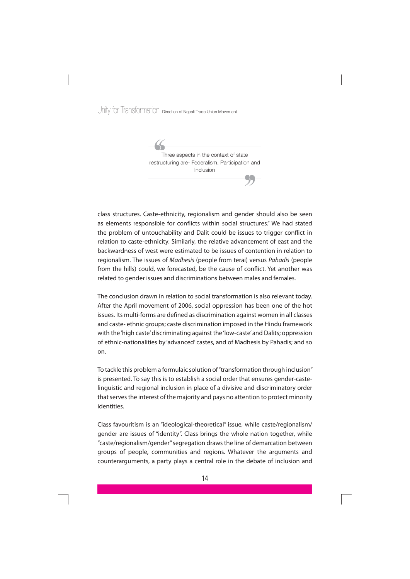

class structures. Caste-ethnicity, regionalism and gender should also be seen as elements responsible for conflicts within social structures." We had stated the problem of untouchability and Dalit could be issues to trigger conflict in relation to caste-ethnicity. Similarly, the relative advancement of east and the backwardness of west were estimated to be issues of contention in relation to regionalism. The issues of Madhesis (people from terai) versus Pahadis (people from the hills) could, we forecasted, be the cause of conflict. Yet another was related to gender issues and discriminations between males and females.

The conclusion drawn in relation to social transformation is also relevant today. After the April movement of 2006, social oppression has been one of the hot issues. Its multi-forms are defined as discrimination against women in all classes and caste- ethnic groups; caste discrimination imposed in the Hindu framework with the 'high caste' discriminating against the 'low-caste' and Dalits; oppression of ethnic-nationalities by 'advanced' castes, and of Madhesis by Pahadis; and so on.

To tackle this problem a formulaic solution of "transformation through inclusion" is presented. To say this is to establish a social order that ensures gender-castelinguistic and regional inclusion in place of a divisive and discriminatory order that serves the interest of the majority and pays no attention to protect minority identities.

Class favouritism is an "ideological-theoretical" issue, while caste/regionalism/ gender are issues of "identity". Class brings the whole nation together, while "caste/regionalism/gender" segregation draws the line of demarcation between groups of people, communities and regions. Whatever the arguments and counterarguments, a party plays a central role in the debate of inclusion and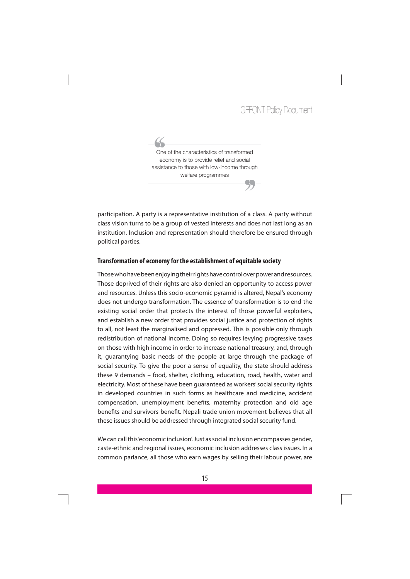One of the characteristics of transformed economy is to provide relief and social assistance to those with low-income through welfare programmes

participation. A party is a representative institution of a class. A party without class vision turns to be a group of vested interests and does not last long as an institution. Inclusion and representation should therefore be ensured through political parties.

#### **Transformation of economy for the establishment of equitable society**

Those who have been enjoying their rights have control over power and resources. Those deprived of their rights are also denied an opportunity to access power and resources. Unless this socio-economic pyramid is altered, Nepal's economy does not undergo transformation. The essence of transformation is to end the existing social order that protects the interest of those powerful exploiters, and establish a new order that provides social justice and protection of rights to all, not least the marginalised and oppressed. This is possible only through redistribution of national income. Doing so requires levying progressive taxes on those with high income in order to increase national treasury, and, through it, guarantying basic needs of the people at large through the package of social security. To give the poor a sense of equality, the state should address these 9 demands – food, shelter, clothing, education, road, health, water and electricity. Most of these have been guaranteed as workers' social security rights in developed countries in such forms as healthcare and medicine, accident compensation, unemployment benefits, maternity protection and old age benefits and survivors benefit. Nepali trade union movement believes that all these issues should be addressed through integrated social security fund.

We can call this 'economic inclusion'. Just as social inclusion encompasses gender, caste-ethnic and regional issues, economic inclusion addresses class issues. In a common parlance, all those who earn wages by selling their labour power, are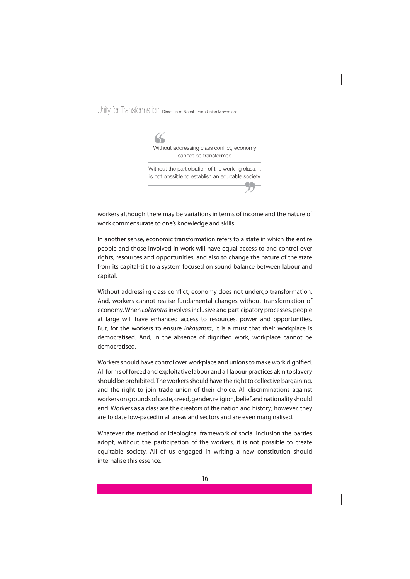

workers although there may be variations in terms of income and the nature of work commensurate to one's knowledge and skills.

In another sense, economic transformation refers to a state in which the entire people and those involved in work will have equal access to and control over rights, resources and opportunities, and also to change the nature of the state from its capital-tilt to a system focused on sound balance between labour and capital.

Without addressing class conflict, economy does not undergo transformation. And, workers cannot realise fundamental changes without transformation of economy. When Loktantra involves inclusive and participatory processes, people at large will have enhanced access to resources, power and opportunities. But, for the workers to ensure *lokatantra*, it is a must that their workplace is democratised. And, in the absence of dignified work, workplace cannot be democratised.

Workers should have control over workplace and unions to make work dignified. All forms of forced and exploitative labour and all labour practices akin to slavery should be prohibited. The workers should have the right to collective bargaining, and the right to join trade union of their choice. All discriminations against workers on grounds of caste, creed, gender, religion, belief and nationality should end. Workers as a class are the creators of the nation and history; however, they are to date low-paced in all areas and sectors and are even marginalised.

Whatever the method or ideological framework of social inclusion the parties adopt, without the participation of the workers, it is not possible to create equitable society. All of us engaged in writing a new constitution should internalise this essence.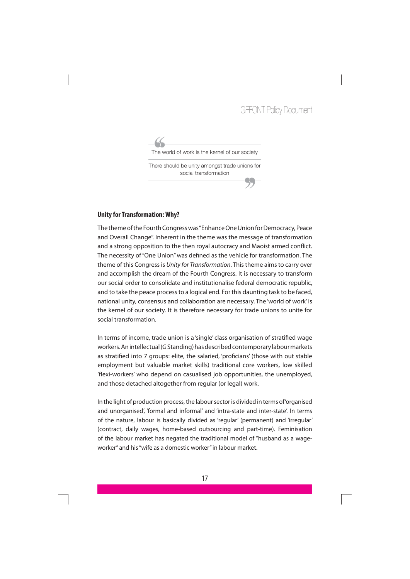

There should be unity amongst trade unions for

social transformation

#### **Unity for Transformation: Why?**

The theme of the Fourth Congress was "Enhance One Union for Democracy, Peace and Overall Change". Inherent in the theme was the message of transformation and a strong opposition to the then royal autocracy and Maoist armed conflict. The necessity of "One Union" was defined as the vehicle for transformation. The theme of this Congress is Unity for Transformation. This theme aims to carry over and accomplish the dream of the Fourth Congress. It is necessary to transform our social order to consolidate and institutionalise federal democratic republic, and to take the peace process to a logical end. For this daunting task to be faced, national unity, consensus and collaboration are necessary. The 'world of work' is the kernel of our society. It is therefore necessary for trade unions to unite for social transformation.

In terms of income, trade union is a 'single' class organisation of stratified wage workers. An intellectual (G Standing) has described contemporary labour markets as stratified into 7 groups: elite, the salaried, 'proficians' (those with out stable employment but valuable market skills) traditional core workers, low skilled 'flexi-workers' who depend on casualised job opportunities, the unemployed, and those detached altogether from regular (or legal) work.

In the light of production process, the labour sector is divided in terms of 'organised and unorganised', 'formal and informal' and 'intra-state and inter-state'. In terms of the nature, labour is basically divided as 'regular' (permanent) and 'irregular' (contract, daily wages, home-based outsourcing and part-time). Feminisation of the labour market has negated the traditional model of "husband as a wageworker" and his "wife as a domestic worker" in labour market.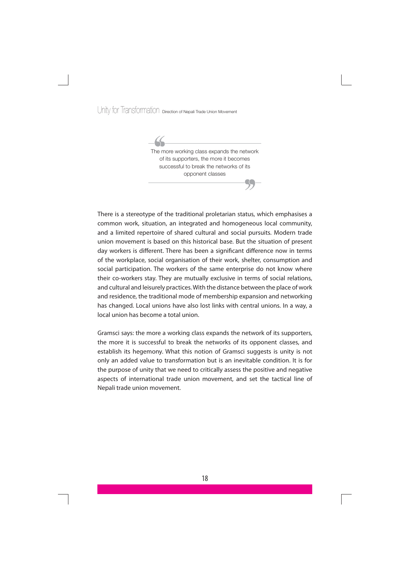

The more working class expands the network of its supporters, the more it becomes successful to break the networks of its opponent classes

There is a stereotype of the traditional proletarian status, which emphasises a common work, situation, an integrated and homogeneous local community, and a limited repertoire of shared cultural and social pursuits. Modern trade union movement is based on this historical base. But the situation of present day workers is different. There has been a significant difference now in terms of the workplace, social organisation of their work, shelter, consumption and social participation. The workers of the same enterprise do not know where their co-workers stay. They are mutually exclusive in terms of social relations, and cultural and leisurely practices. With the distance between the place of work and residence, the traditional mode of membership expansion and networking has changed. Local unions have also lost links with central unions. In a way, a local union has become a total union.

Gramsci says: the more a working class expands the network of its supporters, the more it is successful to break the networks of its opponent classes, and establish its hegemony. What this notion of Gramsci suggests is unity is not only an added value to transformation but is an inevitable condition. It is for the purpose of unity that we need to critically assess the positive and negative aspects of international trade union movement, and set the tactical line of Nepali trade union movement.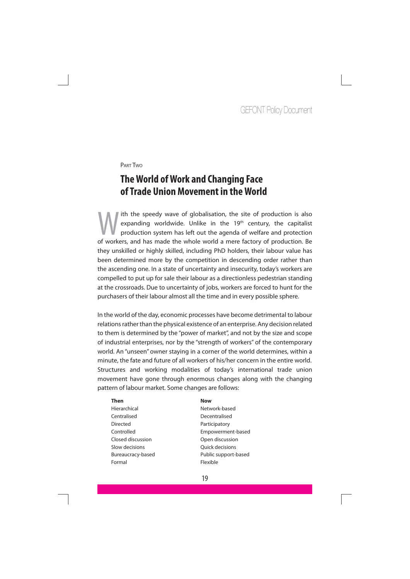#### PART TWO

### **The World of Work and Changing Face of Trade Union Movement in the World**

ith the speedy wave of globalisation, the site of production is also expanding worldwide. Unlike in the 19<sup>th</sup> century, the capitalist production system has left out the agenda of welfare and protection of workers, and has made the whole world a mere factory of production. Be they unskilled or highly skilled, including PhD holders, their labour value has been determined more by the competition in descending order rather than the ascending one. In a state of uncertainty and insecurity, today's workers are compelled to put up for sale their labour as a directionless pedestrian standing at the crossroads. Due to uncertainty of jobs, workers are forced to hunt for the purchasers of their labour almost all the time and in every possible sphere.

In the world of the day, economic processes have become detrimental to labour relations rather than the physical existence of an enterprise. Any decision related to them is determined by the "power of market", and not by the size and scope of industrial enterprises, nor by the "strength of workers" of the contemporary world. An "unseen" owner staying in a corner of the world determines, within a minute, the fate and future of all workers of his/her concern in the entire world. Structures and working modalities of today's international trade union movement have gone through enormous changes along with the changing pattern of labour market. Some changes are follows:

#### **Then Now Research Institute Contract Institute Contract Institute Contract Institute Contract Institute Operation**

Hierarchical Network-based Centralised Decentralised Directed **Participatory** Closed discussion Open discussion Slow decisions **COULCE COULCE COULCE A** COULCE ON OUTCH ON OUTCH ON A COULCE A COULCE A COULCE A COULCE A COULCE Formal Flexible

Controlled Empowerment-based Bureaucracy-based Public support-based

19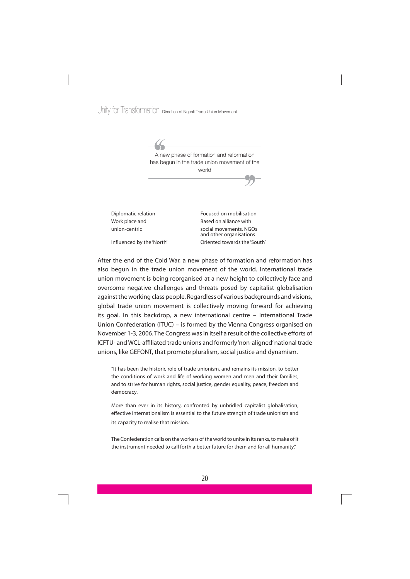A new phase of formation and reformation has begun in the trade union movement of the world

| Diplomatic relation       | Focused on mobilisation                           |
|---------------------------|---------------------------------------------------|
| Work place and            | Based on alliance with                            |
| union-centric             | social movements, NGOs<br>and other organisations |
| Influenced by the 'North' | Oriented towards the 'South'                      |

After the end of the Cold War, a new phase of formation and reformation has also begun in the trade union movement of the world. International trade union movement is being reorganised at a new height to collectively face and overcome negative challenges and threats posed by capitalist globalisation against the working class people. Regardless of various backgrounds and visions, global trade union movement is collectively moving forward for achieving its goal. In this backdrop, a new international centre – International Trade Union Confederation (ITUC) – is formed by the Vienna Congress organised on November 1-3, 2006. The Congress was in itself a result of the collective efforts of ICFTU- and WCL-affiliated trade unions and formerly 'non-aligned' national trade unions, like GEFONT, that promote pluralism, social justice and dynamism.

"It has been the historic role of trade unionism, and remains its mission, to better the conditions of work and life of working women and men and their families, and to strive for human rights, social justice, gender equality, peace, freedom and democracy.

More than ever in its history, confronted by unbridled capitalist globalisation, effective internationalism is essential to the future strength of trade unionism and its capacity to realise that mission.

The Confederation calls on the workers of the world to unite in its ranks, to make of it the instrument needed to call forth a better future for them and for all humanity."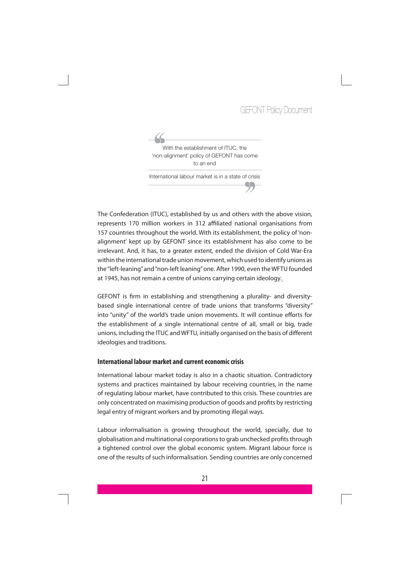With the establishment of ITUC, the 'non-alignment' policy of GEFONT has come to an end International labour market is in a state of crisis

The Confederation (ITUC), established by us and others with the above vision, represents 170 million workers in 312 affiliated national organisations from 157 countries throughout the world. With its establishment, the policy of 'nonalignment' kept up by GEFONT since its establishment has also come to be irrelevant. And, it has, to a greater extent, ended the division of Cold War-Era within the international trade union movement, which used to identify unions as the "left-leaning" and "non-left leaning" one. After 1990, even the WFTU founded at 1945, has not remain a centre of unions carrying certain ideology.

GEFONT is firm in establishing and strengthening a plurality- and diversitybased single international centre of trade unions that transforms "diversity" into "unity" of the world's trade union movements. It will continue efforts for the establishment of a single international centre of all, small or big, trade unions, including the ITUC and WFTU, initially organised on the basis of different ideologies and traditions.

#### **International labour market and current economic crisis**

International labour market today is also in a chaotic situation. Contradictory systems and practices maintained by labour receiving countries, in the name of regulating labour market, have contributed to this crisis. These countries are only concentrated on maximising production of goods and profits by restricting legal entry of migrant workers and by promoting illegal ways.

Labour informalisation is growing throughout the world, specially, due to globalisation and multinational corporations to grab unchecked profits through a tightened control over the global economic system. Migrant labour force is one of the results of such informalisation. Sending countries are only concerned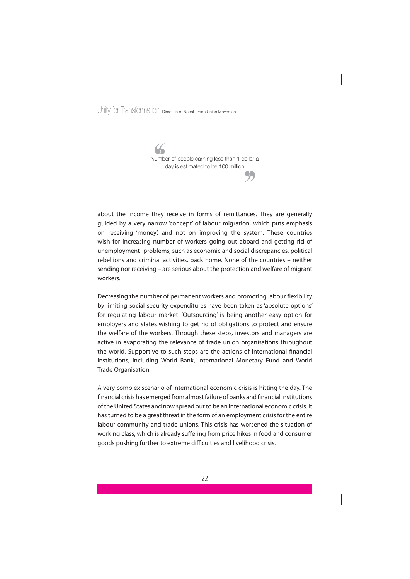Number of people earning less than 1 dollar a day is estimated to be 100 million

about the income they receive in forms of remittances. They are generally guided by a very narrow 'concept' of labour migration, which puts emphasis on receiving 'money', and not on improving the system. These countries wish for increasing number of workers going out aboard and getting rid of unemployment- problems, such as economic and social discrepancies, political rebellions and criminal activities, back home. None of the countries – neither sending nor receiving – are serious about the protection and welfare of migrant workers.

Decreasing the number of permanent workers and promoting labour flexibility by limiting social security expenditures have been taken as 'absolute options' for regulating labour market. 'Outsourcing' is being another easy option for employers and states wishing to get rid of obligations to protect and ensure the welfare of the workers. Through these steps, investors and managers are active in evaporating the relevance of trade union organisations throughout the world. Supportive to such steps are the actions of international financial institutions, including World Bank, International Monetary Fund and World Trade Organisation.

A very complex scenario of international economic crisis is hitting the day. The financial crisis has emerged from almost failure of banks and financial institutions of the United States and now spread out to be an international economic crisis. It has turned to be a great threat in the form of an employment crisis for the entire labour community and trade unions. This crisis has worsened the situation of working class, which is already suffering from price hikes in food and consumer goods pushing further to extreme difficulties and livelihood crisis.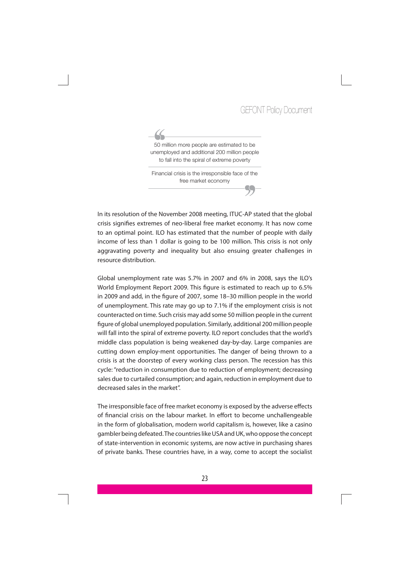50 million more people are estimated to be unemployed and additional 200 million people to fall into the spiral of extreme poverty

Financial crisis is the irresponsible face of the free market economy

In its resolution of the November 2008 meeting, ITUC-AP stated that the global crisis signifies extremes of neo-liberal free market economy. It has now come to an optimal point. ILO has estimated that the number of people with daily income of less than 1 dollar is going to be 100 million. This crisis is not only aggravating poverty and inequality but also ensuing greater challenges in resource distribution.

Global unemployment rate was 5.7% in 2007 and 6% in 2008, says the ILO's World Employment Report 2009. This figure is estimated to reach up to 6.5% in 2009 and add, in the figure of 2007, some 18-30 million people in the world of unemployment. This rate may go up to 7.1% if the employment crisis is not counteracted on time. Such crisis may add some 50 million people in the current figure of global unemployed population. Similarly, additional 200 million people will fall into the spiral of extreme poverty. ILO report concludes that the world's middle class population is being weakened day-by-day. Large companies are cutting down employ-ment opportunities. The danger of being thrown to a crisis is at the doorstep of every working class person. The recession has this cycle: "reduction in consumption due to reduction of employment; decreasing sales due to curtailed consumption; and again, reduction in employment due to decreased sales in the market".

The irresponsible face of free market economy is exposed by the adverse effects of financial crisis on the labour market. In effort to become unchallengeable in the form of globalisation, modern world capitalism is, however, like a casino gambler being defeated. The countries like USA and UK, who oppose the concept of state-intervention in economic systems, are now active in purchasing shares of private banks. These countries have, in a way, come to accept the socialist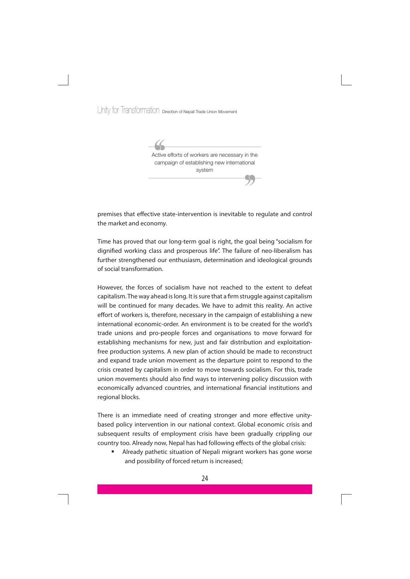

premises that effective state-intervention is inevitable to regulate and control the market and economy.

Time has proved that our long-term goal is right, the goal being "socialism for dignified working class and prosperous life". The failure of neo-liberalism has further strengthened our enthusiasm, determination and ideological grounds of social transformation.

However, the forces of socialism have not reached to the extent to defeat capitalism. The way ahead is long. It is sure that a firm struggle against capitalism will be continued for many decades. We have to admit this reality. An active effort of workers is, therefore, necessary in the campaign of establishing a new international economic-order. An environment is to be created for the world's trade unions and pro-people forces and organisations to move forward for establishing mechanisms for new, just and fair distribution and exploitationfree production systems. A new plan of action should be made to reconstruct and expand trade union movement as the departure point to respond to the crisis created by capitalism in order to move towards socialism. For this, trade union movements should also find ways to intervening policy discussion with economically advanced countries, and international financial institutions and regional blocks.

There is an immediate need of creating stronger and more effective unitybased policy intervention in our national context. Global economic crisis and subsequent results of employment crisis have been gradually crippling our country too. Already now, Nepal has had following effects of the global crisis:

Already pathetic situation of Nepali migrant workers has gone worse and possibility of forced return is increased;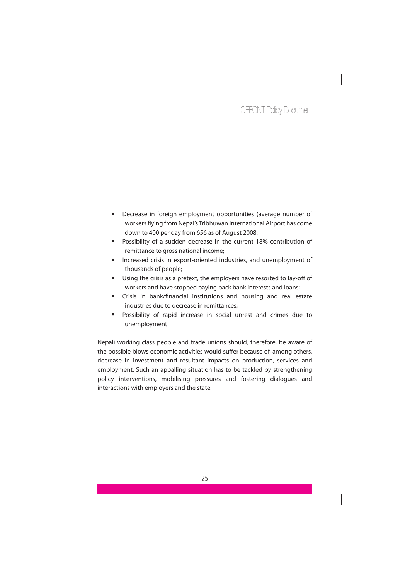- Decrease in foreign employment opportunities (average number of workers flying from Nepal's Tribhuwan International Airport has come down to 400 per day from 656 as of August 2008;
- **Possibility of a sudden decrease in the current 18% contribution of** remittance to gross national income;
- **Increased crisis in export-oriented industries, and unemployment of** thousands of people;
- Using the crisis as a pretext, the employers have resorted to lay-off of workers and have stopped paying back bank interests and loans;
- **EXTE:** Crisis in bank/financial institutions and housing and real estate industries due to decrease in remittances;
- Possibility of rapid increase in social unrest and crimes due to unemployment

Nepali working class people and trade unions should, therefore, be aware of the possible blows economic activities would suffer because of, among others, decrease in investment and resultant impacts on production, services and employment. Such an appalling situation has to be tackled by strengthening policy interventions, mobilising pressures and fostering dialogues and interactions with employers and the state.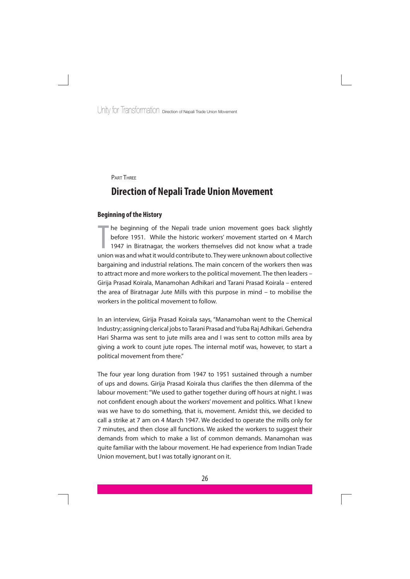PART THREE

# **Direction of Nepali Trade Union Movement**

### **Beginning of the History**

 $\prod_{\ldots}$ he beginning of the Nepali trade union movement goes back slightly before 1951. While the historic workers' movement started on 4 March 1947 in Biratnagar, the workers themselves did not know what a trade union was and what it would contribute to. They were unknown about collective bargaining and industrial relations. The main concern of the workers then was to attract more and more workers to the political movement. The then leaders – Girija Prasad Koirala, Manamohan Adhikari and Tarani Prasad Koirala – entered the area of Biratnagar Jute Mills with this purpose in mind – to mobilise the workers in the political movement to follow.

In an interview, Girija Prasad Koirala says, "Manamohan went to the Chemical Industry; assigning clerical jobs to Tarani Prasad and Yuba Raj Adhikari. Gehendra Hari Sharma was sent to jute mills area and I was sent to cotton mills area by giving a work to count jute ropes. The internal motif was, however, to start a political movement from there."

The four year long duration from 1947 to 1951 sustained through a number of ups and downs. Girija Prasad Koirala thus clarifies the then dilemma of the labour movement: "We used to gather together during off hours at night. I was not confident enough about the workers' movement and politics. What I knew was we have to do something, that is, movement. Amidst this, we decided to call a strike at 7 am on 4 March 1947. We decided to operate the mills only for 7 minutes, and then close all functions. We asked the workers to suggest their demands from which to make a list of common demands. Manamohan was quite familiar with the labour movement. He had experience from Indian Trade Union movement, but I was totally ignorant on it.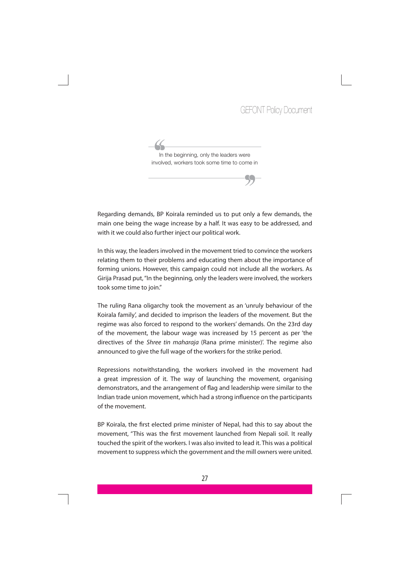

Regarding demands, BP Koirala reminded us to put only a few demands, the main one being the wage increase by a half. It was easy to be addressed, and with it we could also further inject our political work.

In this way, the leaders involved in the movement tried to convince the workers relating them to their problems and educating them about the importance of forming unions. However, this campaign could not include all the workers. As Girija Prasad put, "In the beginning, only the leaders were involved, the workers took some time to join."

The ruling Rana oligarchy took the movement as an 'unruly behaviour of the Koirala family', and decided to imprison the leaders of the movement. But the regime was also forced to respond to the workers' demands. On the 23rd day of the movement, the labour wage was increased by 15 percent as per 'the directives of the Shree tin maharaja (Rana prime minister)'. The regime also announced to give the full wage of the workers for the strike period.

Repressions notwithstanding, the workers involved in the movement had a great impression of it. The way of launching the movement, organising demonstrators, and the arrangement of flag and leadership were similar to the Indian trade union movement, which had a strong influence on the participants of the movement.

BP Koirala, the first elected prime minister of Nepal, had this to say about the movement, "This was the first movement launched from Nepali soil. It really touched the spirit of the workers. I was also invited to lead it. This was a political movement to suppress which the government and the mill owners were united.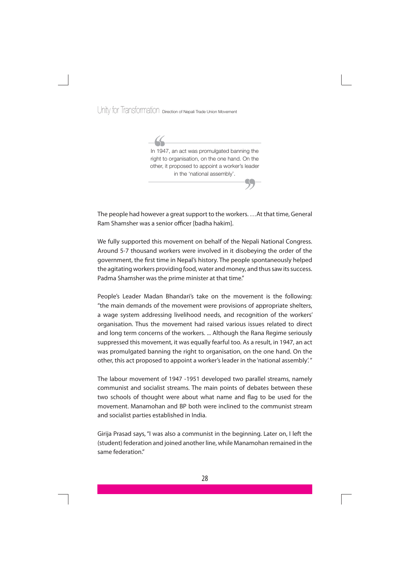

In 1947, an act was promulgated banning the right to organisation, on the one hand. On the other, it proposed to appoint a worker's leader in the 'national assembly'.

The people had however a great support to the workers. …At that time, General Ram Shamsher was a senior officer [badha hakim].

We fully supported this movement on behalf of the Nepali National Congress. Around 5-7 thousand workers were involved in it disobeying the order of the government, the first time in Nepal's history. The people spontaneously helped the agitating workers providing food, water and money, and thus saw its success. Padma Shamsher was the prime minister at that time."

People's Leader Madan Bhandari's take on the movement is the following: "the main demands of the movement were provisions of appropriate shelters, a wage system addressing livelihood needs, and recognition of the workers' organisation. Thus the movement had raised various issues related to direct and long term concerns of the workers. ... Although the Rana Regime seriously suppressed this movement, it was equally fearful too. As a result, in 1947, an act was promulgated banning the right to organisation, on the one hand. On the other, this act proposed to appoint a worker's leader in the 'national assembly'. "

The labour movement of 1947 -1951 developed two parallel streams, namely communist and socialist streams. The main points of debates between these two schools of thought were about what name and flag to be used for the movement. Manamohan and BP both were inclined to the communist stream and socialist parties established in India.

Girija Prasad says, "I was also a communist in the beginning. Later on, I left the (student) federation and joined another line, while Manamohan remained in the same federation."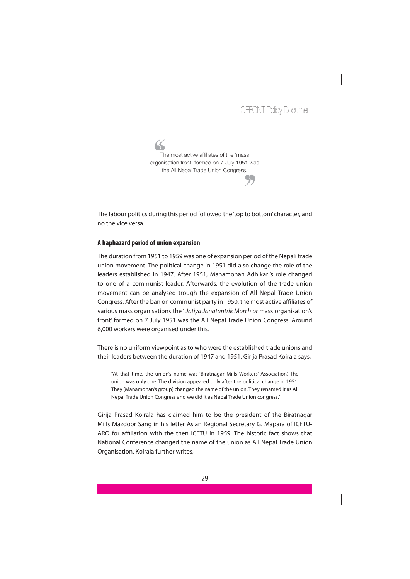The most active affiliates of the 'mass' organisation front' formed on 7 July 1951 was the All Nepal Trade Union Congress.

The labour politics during this period followed the 'top to bottom' character, and no the vice versa.

#### **A haphazard period of union expansion**

The duration from 1951 to 1959 was one of expansion period of the Nepali trade union movement. The political change in 1951 did also change the role of the leaders established in 1947. After 1951, Manamohan Adhikari's role changed to one of a communist leader. Afterwards, the evolution of the trade union movement can be analysed trough the expansion of All Nepal Trade Union Congress. After the ban on communist party in 1950, the most active affiliates of various mass organisations the ' Jatiya Janatantrik Morch or mass organisation's front' formed on 7 July 1951 was the All Nepal Trade Union Congress. Around 6,000 workers were organised under this.

There is no uniform viewpoint as to who were the established trade unions and their leaders between the duration of 1947 and 1951. Girija Prasad Koirala says,

"At that time, the union's name was 'Biratnagar Mills Workers' Association'. The union was only one. The division appeared only after the political change in 1951. They [Manamohan's group] changed the name of the union. They renamed it as All Nepal Trade Union Congress and we did it as Nepal Trade Union congress."

Girija Prasad Koirala has claimed him to be the president of the Biratnagar Mills Mazdoor Sang in his letter Asian Regional Secretary G. Mapara of ICFTU-ARO for affiliation with the then ICFTU in 1959. The historic fact shows that National Conference changed the name of the union as All Nepal Trade Union Organisation. Koirala further writes,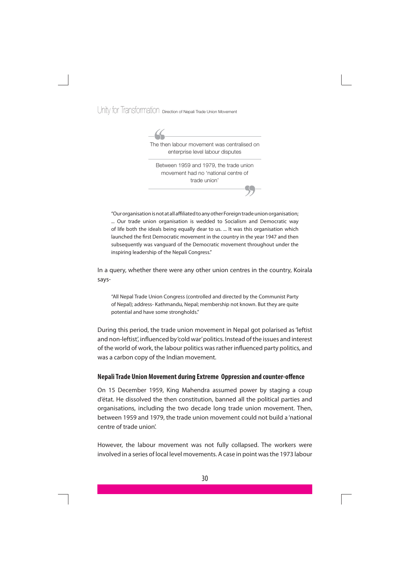Unity for Transformation pirection of Nepali Trade Union Movement



The then labour movement was centralised on enterprise level labour disputes

Between 1959 and 1979, the trade union movement had no 'national centre of trade union'

"Our organisation is not at all affi liated to any other Foreign trade union organisation; ... Our trade union organisation is wedded to Socialism and Democratic way of life both the ideals being equally dear to us. ... It was this organisation which launched the first Democratic movement in the country in the year 1947 and then subsequently was vanguard of the Democratic movement throughout under the inspiring leadership of the Nepali Congress."

In a query, whether there were any other union centres in the country, Koirala says-

"All Nepal Trade Union Congress (controlled and directed by the Communist Party of Nepal); address- Kathmandu, Nepal; membership not known. But they are quite potential and have some strongholds."

During this period, the trade union movement in Nepal got polarised as 'leftist and non-leftist', influenced by 'cold war' politics. Instead of the issues and interest of the world of work, the labour politics was rather influenced party politics, and was a carbon copy of the Indian movement.

#### **Nepali Trade Union Movement during Extreme Oppression and counter-offence**

On 15 December 1959, King Mahendra assumed power by staging a coup d'état. He dissolved the then constitution, banned all the political parties and organisations, including the two decade long trade union movement. Then, between 1959 and 1979, the trade union movement could not build a 'national centre of trade union'.

However, the labour movement was not fully collapsed. The workers were involved in a series of local level movements. A case in point was the 1973 labour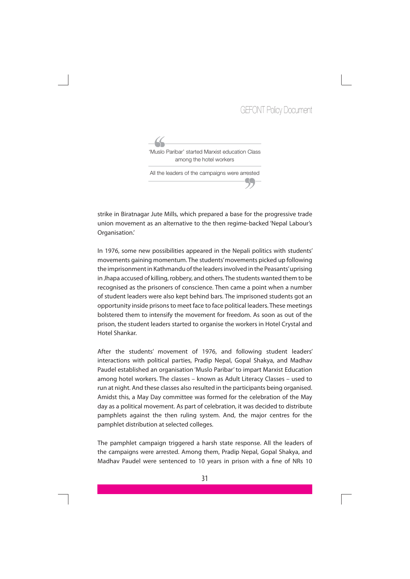

strike in Biratnagar Jute Mills, which prepared a base for the progressive trade union movement as an alternative to the then regime-backed 'Nepal Labour's Organisation.'

In 1976, some new possibilities appeared in the Nepali politics with students' movements gaining momentum. The students' movements picked up following the imprisonment in Kathmandu of the leaders involved in the Peasants' uprising in Jhapa accused of killing, robbery, and others. The students wanted them to be recognised as the prisoners of conscience. Then came a point when a number of student leaders were also kept behind bars. The imprisoned students got an opportunity inside prisons to meet face to face political leaders. These meetings bolstered them to intensify the movement for freedom. As soon as out of the prison, the student leaders started to organise the workers in Hotel Crystal and Hotel Shankar.

After the students' movement of 1976, and following student leaders' interactions with political parties, Pradip Nepal, Gopal Shakya, and Madhav Paudel established an organisation 'Muslo Paribar' to impart Marxist Education among hotel workers. The classes – known as Adult Literacy Classes – used to run at night. And these classes also resulted in the participants being organised. Amidst this, a May Day committee was formed for the celebration of the May day as a political movement. As part of celebration, it was decided to distribute pamphlets against the then ruling system. And, the major centres for the pamphlet distribution at selected colleges.

The pamphlet campaign triggered a harsh state response. All the leaders of the campaigns were arrested. Among them, Pradip Nepal, Gopal Shakya, and Madhav Paudel were sentenced to 10 years in prison with a fine of NRs 10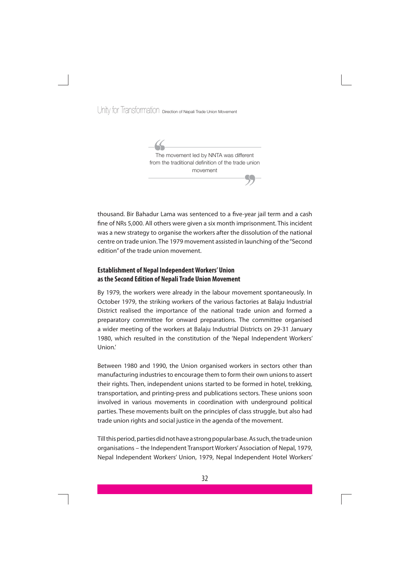

thousand. Bir Bahadur Lama was sentenced to a five-year jail term and a cash fine of NRs 5,000. All others were given a six month imprisonment. This incident was a new strategy to organise the workers after the dissolution of the national centre on trade union. The 1979 movement assisted in launching of the "Second edition" of the trade union movement.

### **Establishment of Nepal Independent Workers' Union as the Second Edition of Nepali Trade Union Movement**

By 1979, the workers were already in the labour movement spontaneously. In October 1979, the striking workers of the various factories at Balaju Industrial District realised the importance of the national trade union and formed a preparatory committee for onward preparations. The committee organised a wider meeting of the workers at Balaju Industrial Districts on 29-31 January 1980, which resulted in the constitution of the 'Nepal Independent Workers' Union.'

Between 1980 and 1990, the Union organised workers in sectors other than manufacturing industries to encourage them to form their own unions to assert their rights. Then, independent unions started to be formed in hotel, trekking, transportation, and printing-press and publications sectors. These unions soon involved in various movements in coordination with underground political parties. These movements built on the principles of class struggle, but also had trade union rights and social justice in the agenda of the movement.

Till this period, parties did not have a strong popular base. As such, the trade union organisations – the Independent Transport Workers' Association of Nepal, 1979, Nepal Independent Workers' Union, 1979, Nepal Independent Hotel Workers'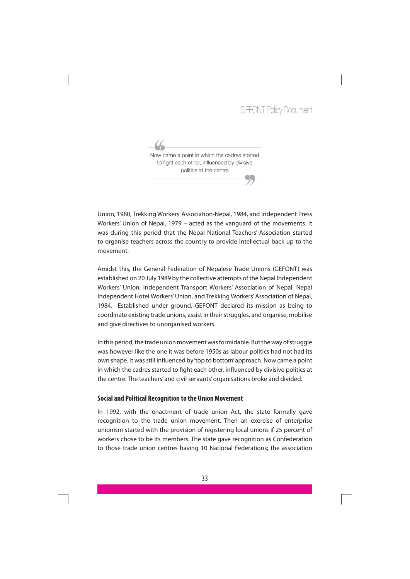

Union, 1980, Trekking Workers' Association-Nepal, 1984, and Independent Press Workers' Union of Nepal, 1979 – acted as the vanguard of the movements. It was during this period that the Nepal National Teachers' Association started to organise teachers across the country to provide intellectual back up to the movement.

Amidst this, the General Federation of Nepalese Trade Unions (GEFONT) was established on 20 July 1989 by the collective attempts of the Nepal Independent Workers' Union, Independent Transport Workers' Association of Nepal, Nepal Independent Hotel Workers' Union, and Trekking Workers' Association of Nepal, 1984. Established under ground, GEFONT declared its mission as being to coordinate existing trade unions, assist in their struggles, and organise, mobilise and give directives to unorganised workers.

In this period, the trade union movement was formidable. But the way of struggle was however like the one it was before 1950s as labour politics had not had its own shape. It was still influenced by 'top to bottom' approach. Now came a point in which the cadres started to fight each other, influenced by divisive politics at the centre. The teachers' and civil servants' organisations broke and divided.

### **Social and Political Recognition to the Union Movement**

In 1992, with the enactment of trade union Act, the state formally gave recognition to the trade union movement. Then an exercise of enterprise unionism started with the provision of registering local unions if 25 percent of workers chose to be its members. The state gave recognition as Confederation to those trade union centres having 10 National Federations; the association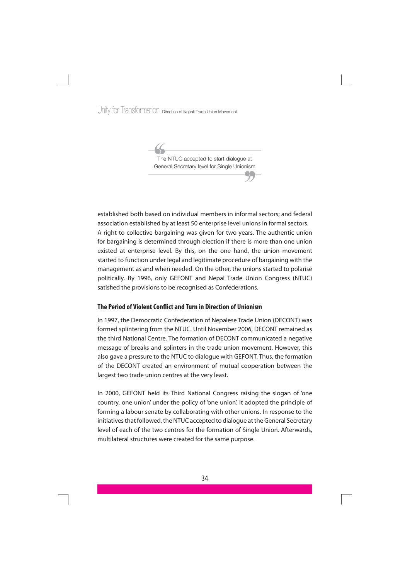The NTUC accepted to start dialogue at General Secretary level for Single Unionism

established both based on individual members in informal sectors; and federal association established by at least 50 enterprise level unions in formal sectors. A right to collective bargaining was given for two years. The authentic union for bargaining is determined through election if there is more than one union existed at enterprise level. By this, on the one hand, the union movement started to function under legal and legitimate procedure of bargaining with the management as and when needed. On the other, the unions started to polarise politically. By 1996, only GEFONT and Nepal Trade Union Congress (NTUC) satisfied the provisions to be recognised as Confederations.

### **The Period of Violent Conflict and Turn in Direction of Unionism**

In 1997, the Democratic Confederation of Nepalese Trade Union (DECONT) was formed splintering from the NTUC. Until November 2006, DECONT remained as the third National Centre. The formation of DECONT communicated a negative message of breaks and splinters in the trade union movement. However, this also gave a pressure to the NTUC to dialogue with GEFONT. Thus, the formation of the DECONT created an environment of mutual cooperation between the largest two trade union centres at the very least.

In 2000, GEFONT held its Third National Congress raising the slogan of 'one country, one union' under the policy of 'one union'. It adopted the principle of forming a labour senate by collaborating with other unions. In response to the initiatives that followed, the NTUC accepted to dialogue at the General Secretary level of each of the two centres for the formation of Single Union. Afterwards, multilateral structures were created for the same purpose.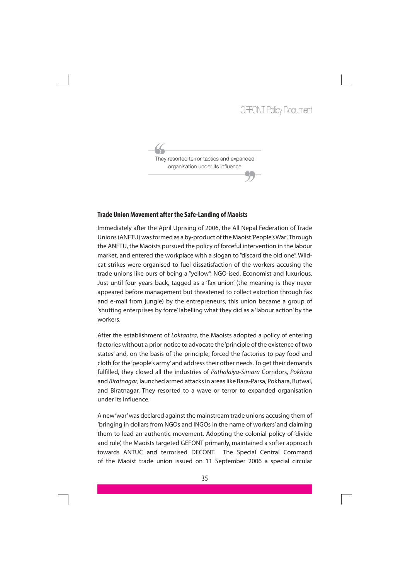

#### **Trade Union Movement after the Safe-Landing of Maoists**

Immediately after the April Uprising of 2006, the All Nepal Federation of Trade Unions (ANFTU) was formed as a by-product of the Maoist 'People's War'. Through the ANFTU, the Maoists pursued the policy of forceful intervention in the labour market, and entered the workplace with a slogan to "discard the old one". Wildcat strikes were organised to fuel dissatisfaction of the workers accusing the trade unions like ours of being a "yellow", NGO-ised, Economist and luxurious. Just until four years back, tagged as a 'fax-union' (the meaning is they never appeared before management but threatened to collect extortion through fax and e-mail from jungle) by the entrepreneurs, this union became a group of 'shutting enterprises by force' labelling what they did as a 'labour action' by the workers.

After the establishment of Loktantra, the Maoists adopted a policy of entering factories without a prior notice to advocate the 'principle of the existence of two states' and, on the basis of the principle, forced the factories to pay food and cloth for the 'people's army' and address their other needs. To get their demands fulfilled, they closed all the industries of Pathalaiya-Simara Corridors, Pokhara and Biratnagar, launched armed attacks in areas like Bara-Parsa, Pokhara, Butwal, and Biratnagar. They resorted to a wave or terror to expanded organisation under its influence

A new 'war' was declared against the mainstream trade unions accusing them of 'bringing in dollars from NGOs and INGOs in the name of workers' and claiming them to lead an authentic movement. Adopting the colonial policy of 'divide and rule', the Maoists targeted GEFONT primarily, maintained a softer approach towards ANTUC and terrorised DECONT. The Special Central Command of the Maoist trade union issued on 11 September 2006 a special circular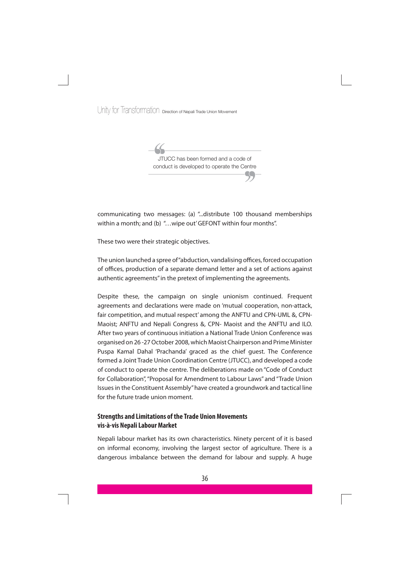JTUCC has been formed and a code of conduct is developed to operate the Centre

communicating two messages: (a) "...distribute 100 thousand memberships within a month; and (b) "…wipe out' GEFONT within four months".

These two were their strategic objectives.

The union launched a spree of "abduction, vandalising offices, forced occupation of offices, production of a separate demand letter and a set of actions against authentic agreements" in the pretext of implementing the agreements.

Despite these, the campaign on single unionism continued. Frequent agreements and declarations were made on 'mutual cooperation, non-attack, fair competition, and mutual respect' among the ANFTU and CPN-UML &, CPN-Maoist; ANFTU and Nepali Congress &, CPN- Maoist and the ANFTU and ILO. After two years of continuous initiation a National Trade Union Conference was organised on 26 -27 October 2008, which Maoist Chairperson and Prime Minister Puspa Kamal Dahal 'Prachanda' graced as the chief guest. The Conference formed a Joint Trade Union Coordination Centre (JTUCC), and developed a code of conduct to operate the centre. The deliberations made on "Code of Conduct for Collaboration", "Proposal for Amendment to Labour Laws" and "Trade Union Issues in the Constituent Assembly" have created a groundwork and tactical line for the future trade union moment.

### **Strengths and Limitations of the Trade Union Movements vis-à-vis Nepali Labour Market**

Nepali labour market has its own characteristics. Ninety percent of it is based on informal economy, involving the largest sector of agriculture. There is a dangerous imbalance between the demand for labour and supply. A huge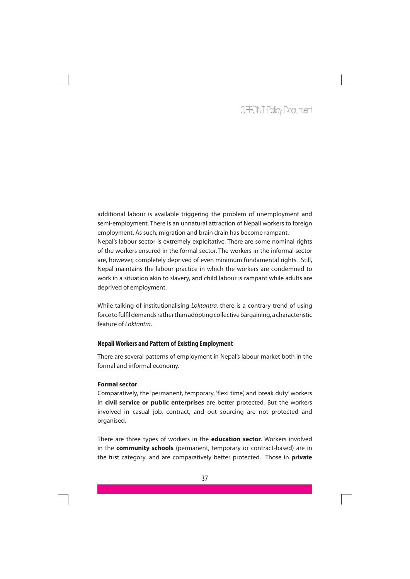additional labour is available triggering the problem of unemployment and semi-employment. There is an unnatural attraction of Nepali workers to foreign employment. As such, migration and brain drain has become rampant. Nepal's labour sector is extremely exploitative. There are some nominal rights of the workers ensured in the formal sector. The workers in the informal sector are, however, completely deprived of even minimum fundamental rights. Still, Nepal maintains the labour practice in which the workers are condemned to work in a situation akin to slavery, and child labour is rampant while adults are deprived of employment.

While talking of institutionalising *Loktantra*, there is a contrary trend of using force to fulfi l demands rather than adopting collective bargaining, a characteristic feature of Loktantra.

#### **Nepali Workers and Pattern of Existing Employment**

There are several patterns of employment in Nepal's labour market both in the formal and informal economy.

#### **Formal sector**

Comparatively, the 'permanent, temporary, 'flexi time', and break duty' workers in **civil service or public enterprises** are better protected. But the workers involved in casual job, contract, and out sourcing are not protected and organised.

There are three types of workers in the **education sector**. Workers involved in the **community schools** (permanent, temporary or contract-based) are in the first category, and are comparatively better protected. Those in **private**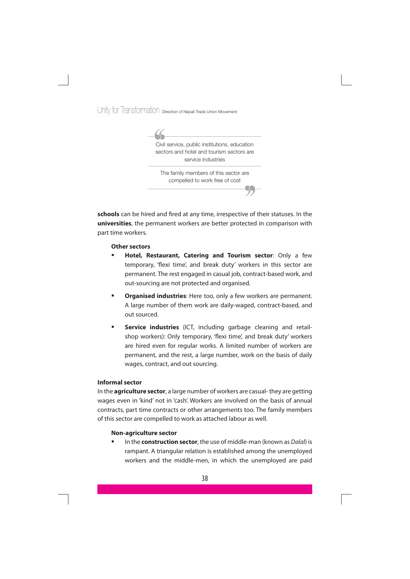

Civil service, public institutions, education sectors and hotel and tourism sectors are service industries

The family members of this sector are compelled to work free of cost

schools can be hired and fired at any time, irrespective of their statuses. In the **universities**, the permanent workers are better protected in comparison with part time workers.

#### **Other sectors**

- **Hotel, Restaurant, Catering and Tourism sector**: Only a few temporary, 'flexi time', and break duty' workers in this sector are permanent. The rest engaged in casual job, contract-based work, and out-sourcing are not protected and organised.
- **Proposition Crytanised industries:** Here too, only a few workers are permanent. A large number of them work are daily-waged, contract-based, and out sourced.
- **Service industries** (ICT, including garbage cleaning and retailshop workers): Only temporary, 'flexi time', and break duty' workers are hired even for regular works. A limited number of workers are permanent, and the rest, a large number, work on the basis of daily wages, contract, and out sourcing.

#### **Informal sector**

In the **agriculture sector**, a large number of workers are casual- they are getting wages even in 'kind' not in 'cash'. Workers are involved on the basis of annual contracts, part time contracts or other arrangements too. The family members of this sector are compelled to work as attached labour as well.

#### **Non-agriculture sector**

 In the **construction sector**, the use of middle-man (known as Dalal) is rampant. A triangular relation is established among the unemployed workers and the middle-men, in which the unemployed are paid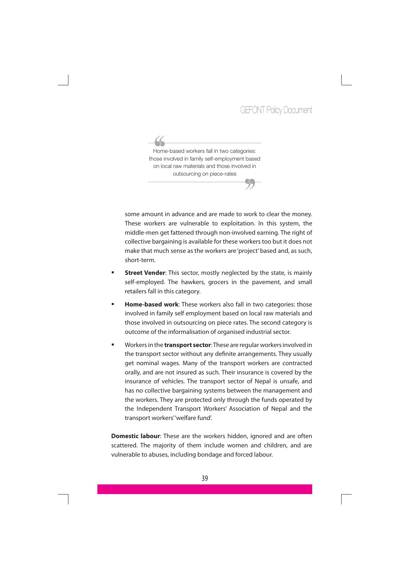Home-based workers fall in two categories: those involved in family self-employment based on local raw materials and those involved in outsourcing on piece-rates

some amount in advance and are made to work to clear the money. These workers are vulnerable to exploitation. In this system, the middle-men get fattened through non-involved earning. The right of collective bargaining is available for these workers too but it does not make that much sense as the workers are 'project' based and, as such, short-term.

- **Street Vender:** This sector, mostly neglected by the state, is mainly self-employed. The hawkers, grocers in the pavement, and small retailers fall in this category.
- **Home-based work**: These workers also fall in two categories: those involved in family self employment based on local raw materials and those involved in outsourcing on piece rates. The second category is outcome of the informalisation of organised industrial sector.
- Workers in the **transport sector**: These are regular workers involved in the transport sector without any definite arrangements. They usually get nominal wages. Many of the transport workers are contracted orally, and are not insured as such. Their insurance is covered by the insurance of vehicles. The transport sector of Nepal is unsafe, and has no collective bargaining systems between the management and the workers. They are protected only through the funds operated by the Independent Transport Workers' Association of Nepal and the transport workers' 'welfare fund'.

**Domestic labour**: These are the workers hidden, ignored and are often scattered. The majority of them include women and children, and are vulnerable to abuses, including bondage and forced labour.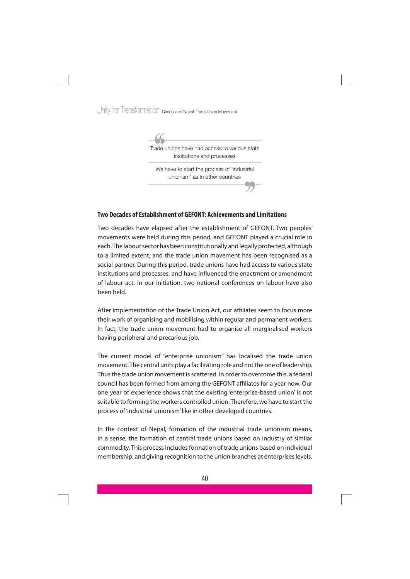

### **Two Decades of Establishment of GEFONT: Achievements and Limitations**

Two decades have elapsed after the establishment of GEFONT. Two peoples' movements were held during this period, and GEFONT played a crucial role in each. The labour sector has been constitutionally and legally protected, although to a limited extent, and the trade union movement has been recognised as a social partner. During this period, trade unions have had access to various state institutions and processes, and have influenced the enactment or amendment of labour act. In our initiation, two national conferences on labour have also been held.

After implementation of the Trade Union Act, our affiliates seem to focus more their work of organising and mobilising within regular and permanent workers. In fact, the trade union movement had to organise all marginalised workers having peripheral and precarious job.

The current model of "enterprise unionism" has localised the trade union movement. The central units play a facilitating role and not the one of leadership. Thus the trade union movement is scattered. In order to overcome this, a federal council has been formed from among the GEFONT affiliates for a year now. Our one year of experience shows that the existing 'enterprise-based union' is not suitable to forming the workers controlled union. Therefore, we have to start the process of 'industrial unionism' like in other developed countries.

In the context of Nepal, formation of the industrial trade unionism means, in a sense, the formation of central trade unions based on industry of similar commodity. This process includes formation of trade unions based on individual membership, and giving recognition to the union branches at enterprises levels.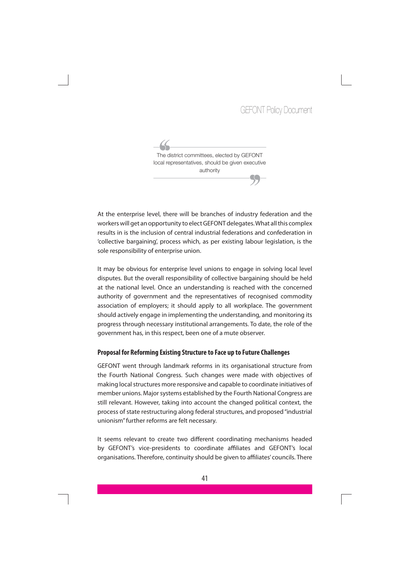

At the enterprise level, there will be branches of industry federation and the workers will get an opportunity to elect GEFONT delegates. What all this complex results in is the inclusion of central industrial federations and confederation in 'collective bargaining', process which, as per existing labour legislation, is the sole responsibility of enterprise union.

It may be obvious for enterprise level unions to engage in solving local level disputes. But the overall responsibility of collective bargaining should be held at the national level. Once an understanding is reached with the concerned authority of government and the representatives of recognised commodity association of employers; it should apply to all workplace. The government should actively engage in implementing the understanding, and monitoring its progress through necessary institutional arrangements. To date, the role of the government has, in this respect, been one of a mute observer.

#### **Proposal for Reforming Existing Structure to Face up to Future Challenges**

GEFONT went through landmark reforms in its organisational structure from the Fourth National Congress. Such changes were made with objectives of making local structures more responsive and capable to coordinate initiatives of member unions. Major systems established by the Fourth National Congress are still relevant. However, taking into account the changed political context, the process of state restructuring along federal structures, and proposed "industrial unionism" further reforms are felt necessary.

It seems relevant to create two different coordinating mechanisms headed by GEFONT's vice-presidents to coordinate affiliates and GEFONT's local organisations. Therefore, continuity should be given to affiliates' councils. There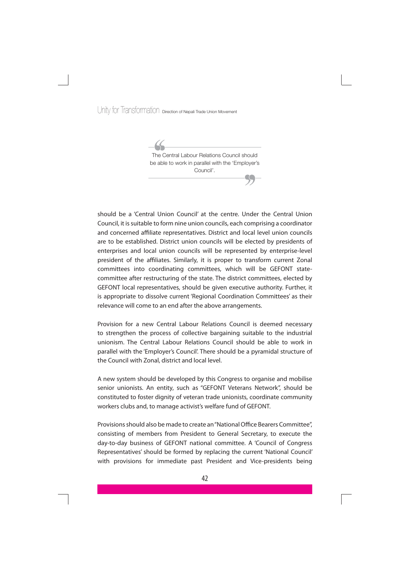

should be a 'Central Union Council' at the centre. Under the Central Union Council, it is suitable to form nine union councils, each comprising a coordinator and concerned affiliate representatives. District and local level union councils are to be established. District union councils will be elected by presidents of enterprises and local union councils will be represented by enterprise-level president of the affiliates. Similarly, it is proper to transform current Zonal committees into coordinating committees, which will be GEFONT statecommittee after restructuring of the state. The district committees, elected by GEFONT local representatives, should be given executive authority. Further, it is appropriate to dissolve current 'Regional Coordination Committees' as their relevance will come to an end after the above arrangements.

Provision for a new Central Labour Relations Council is deemed necessary to strengthen the process of collective bargaining suitable to the industrial unionism. The Central Labour Relations Council should be able to work in parallel with the 'Employer's Council'. There should be a pyramidal structure of the Council with Zonal, district and local level.

A new system should be developed by this Congress to organise and mobilise senior unionists. An entity, such as "GEFONT Veterans Network", should be constituted to foster dignity of veteran trade unionists, coordinate community workers clubs and, to manage activist's welfare fund of GEFONT.

Provisions should also be made to create an "National Office Bearers Committee", consisting of members from President to General Secretary, to execute the day-to-day business of GEFONT national committee. A 'Council of Congress Representatives' should be formed by replacing the current 'National Council' with provisions for immediate past President and Vice-presidents being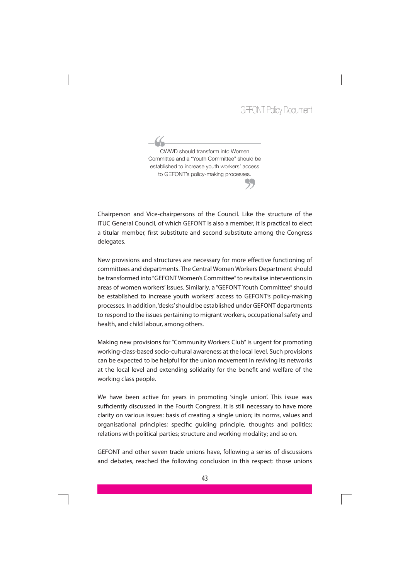CWWD should transform into Women Committee and a "Youth Committee" should be established to increase youth workers' access to GEFONT's policy-making processes.

Chairperson and Vice-chairpersons of the Council. Like the structure of the ITUC General Council, of which GEFONT is also a member, it is practical to elect a titular member, first substitute and second substitute among the Congress delegates.

New provisions and structures are necessary for more effective functioning of committees and departments. The Central Women Workers Department should be transformed into "GEFONT Women's Committee" to revitalise interventions in areas of women workers' issues. Similarly, a "GEFONT Youth Committee" should be established to increase youth workers' access to GEFONT's policy-making processes. In addition, 'desks' should be established under GEFONT departments to respond to the issues pertaining to migrant workers, occupational safety and health, and child labour, among others.

Making new provisions for "Community Workers Club" is urgent for promoting working-class-based socio-cultural awareness at the local level. Such provisions can be expected to be helpful for the union movement in reviving its networks at the local level and extending solidarity for the benefit and welfare of the working class people.

We have been active for years in promoting 'single union'. This issue was sufficiently discussed in the Fourth Congress. It is still necessary to have more clarity on various issues: basis of creating a single union; its norms, values and organisational principles; specific quiding principle, thoughts and politics; relations with political parties; structure and working modality; and so on.

GEFONT and other seven trade unions have, following a series of discussions and debates, reached the following conclusion in this respect: those unions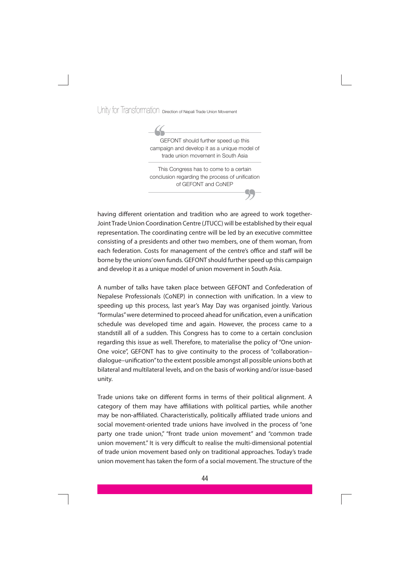### Unity for Transformation Direction of Nepali Trade Union Movement

GEFONT should further speed up this campaign and develop it as a unique model of trade union movement in South Asia

This Congress has to come to a certain conclusion regarding the process of unification of GEFONT and CoNEP

having different orientation and tradition who are agreed to work together-Joint Trade Union Coordination Centre (JTUCC) will be established by their equal representation. The coordinating centre will be led by an executive committee consisting of a presidents and other two members, one of them woman, from each federation. Costs for management of the centre's office and staff will be borne by the unions' own funds. GEFONT should further speed up this campaign and develop it as a unique model of union movement in South Asia.

A number of talks have taken place between GEFONT and Confederation of Nepalese Professionals (CoNEP) in connection with unification. In a view to speeding up this process, last year's May Day was organised jointly. Various "formulas" were determined to proceed ahead for unification, even a unification schedule was developed time and again. However, the process came to a standstill all of a sudden. This Congress has to come to a certain conclusion regarding this issue as well. Therefore, to materialise the policy of "One union-One voice", GEFONT has to give continuity to the process of "collaboration– dialogue-unification" to the extent possible amongst all possible unions both at bilateral and multilateral levels, and on the basis of working and/or issue-based unity.

Trade unions take on different forms in terms of their political alignment. A category of them may have affiliations with political parties, while another may be non-affiliated. Characteristically, politically affiliated trade unions and social movement-oriented trade unions have involved in the process of "one party one trade union," "front trade union movement" and "common trade union movement." It is very difficult to realise the multi-dimensional potential of trade union movement based only on traditional approaches. Today's trade union movement has taken the form of a social movement. The structure of the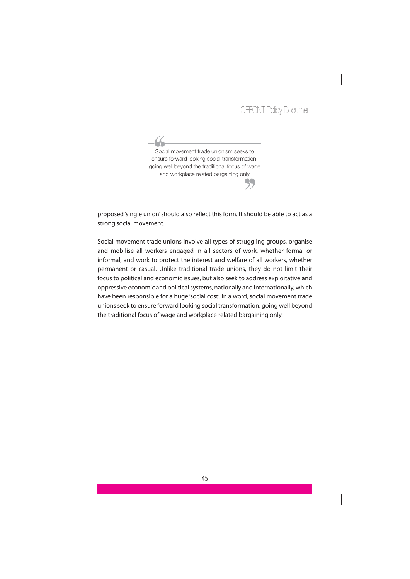Social movement trade unionism seeks to ensure forward looking social transformation, going well beyond the traditional focus of wage and workplace related bargaining only

proposed 'single union' should also reflect this form. It should be able to act as a strong social movement.

Social movement trade unions involve all types of struggling groups, organise and mobilise all workers engaged in all sectors of work, whether formal or informal, and work to protect the interest and welfare of all workers, whether permanent or casual. Unlike traditional trade unions, they do not limit their focus to political and economic issues, but also seek to address exploitative and oppressive economic and political systems, nationally and internationally, which have been responsible for a huge 'social cost'. In a word, social movement trade unions seek to ensure forward looking social transformation, going well beyond the traditional focus of wage and workplace related bargaining only.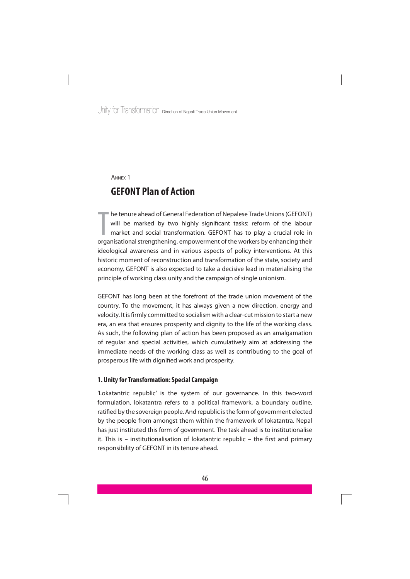### ANNEX 1 **GEFONT Plan of Action**

T he tenure ahead of General Federation of Nepalese Trade Unions (GEFONT) will be marked by two highly significant tasks: reform of the labour market and social transformation. GEFONT has to play a crucial role in organisational strengthening, empowerment of the workers by enhancing their ideological awareness and in various aspects of policy interventions. At this historic moment of reconstruction and transformation of the state, society and economy, GEFONT is also expected to take a decisive lead in materialising the principle of working class unity and the campaign of single unionism.

GEFONT has long been at the forefront of the trade union movement of the country. To the movement, it has always given a new direction, energy and velocity. It is firmly committed to socialism with a clear-cut mission to start a new era, an era that ensures prosperity and dignity to the life of the working class. As such, the following plan of action has been proposed as an amalgamation of regular and special activities, which cumulatively aim at addressing the immediate needs of the working class as well as contributing to the goal of prosperous life with dignified work and prosperity.

#### **1. Unity for Transformation: Special Campaign**

'Lokatantric republic' is the system of our governance. In this two-word formulation, lokatantra refers to a political framework, a boundary outline, ratified by the sovereign people. And republic is the form of government elected by the people from amongst them within the framework of lokatantra. Nepal has just instituted this form of government. The task ahead is to institutionalise it. This is  $-$  institutionalisation of lokatantric republic  $-$  the first and primary responsibility of GEFONT in its tenure ahead.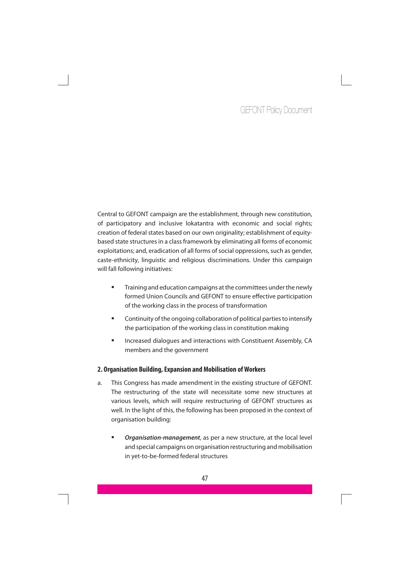Central to GEFONT campaign are the establishment, through new constitution, of participatory and inclusive lokatantra with economic and social rights; creation of federal states based on our own originality; establishment of equitybased state structures in a class framework by eliminating all forms of economic exploitations; and, eradication of all forms of social oppressions, such as gender, caste-ethnicity, linguistic and religious discriminations. Under this campaign will fall following initiatives:

- **EXECT** Training and education campaigns at the committees under the newly formed Union Councils and GEFONT to ensure effective participation of the working class in the process of transformation
- Continuity of the ongoing collaboration of political parties to intensify the participation of the working class in constitution making
- **Increased dialogues and interactions with Constituent Assembly, CA** members and the government

### **2. Organisation Building, Expansion and Mobilisation of Workers**

- a. This Congress has made amendment in the existing structure of GEFONT. The restructuring of the state will necessitate some new structures at various levels, which will require restructuring of GEFONT structures as well. In the light of this, the following has been proposed in the context of organisation building:
	- **Philom-management**, as per a new structure, at the local level and special campaigns on organisation restructuring and mobilisation in yet-to-be-formed federal structures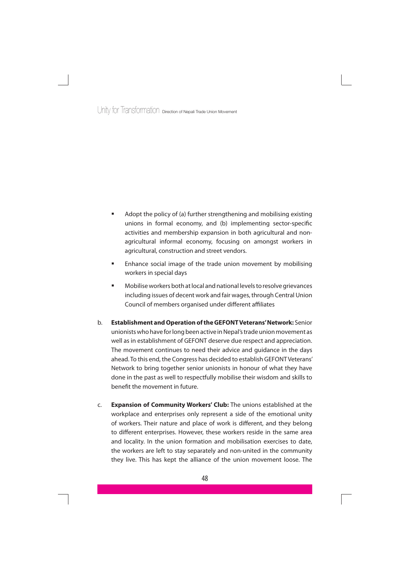- Adopt the policy of (a) further strengthening and mobilising existing unions in formal economy, and (b) implementing sector-specific activities and membership expansion in both agricultural and nonagricultural informal economy, focusing on amongst workers in agricultural, construction and street vendors.
- Enhance social image of the trade union movement by mobilising workers in special days
- Mobilise workers both at local and national levels to resolve grievances including issues of decent work and fair wages, through Central Union Council of members organised under different affiliates
- b. **Establishment and Operation of the GEFONT Veterans' Network:** Senior unionists who have for long been active in Nepal's trade union movement as well as in establishment of GEFONT deserve due respect and appreciation. The movement continues to need their advice and guidance in the days ahead. To this end, the Congress has decided to establish GEFONT Veterans' Network to bring together senior unionists in honour of what they have done in the past as well to respectfully mobilise their wisdom and skills to benefit the movement in future
- c. **Expansion of Community Workers' Club:** The unions established at the workplace and enterprises only represent a side of the emotional unity of workers. Their nature and place of work is different, and they belong to different enterprises. However, these workers reside in the same area and locality. In the union formation and mobilisation exercises to date, the workers are left to stay separately and non-united in the community they live. This has kept the alliance of the union movement loose. The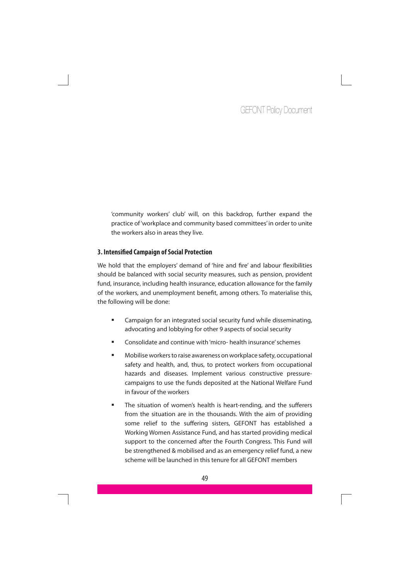'community workers' club' will, on this backdrop, further expand the practice of 'workplace and community based committees' in order to unite the workers also in areas they live.

### **3. Intensified Campaign of Social Protection**

We hold that the employers' demand of 'hire and fire' and labour flexibilities should be balanced with social security measures, such as pension, provident fund, insurance, including health insurance, education allowance for the family of the workers, and unemployment benefit, among others. To materialise this, the following will be done:

- Campaign for an integrated social security fund while disseminating, advocating and lobbying for other 9 aspects of social security
- Consolidate and continue with 'micro- health insurance' schemes
- Mobilise workers to raise awareness on workplace safety, occupational safety and health, and, thus, to protect workers from occupational hazards and diseases. Implement various constructive pressurecampaigns to use the funds deposited at the National Welfare Fund in favour of the workers
- The situation of women's health is heart-rending, and the sufferers from the situation are in the thousands. With the aim of providing some relief to the suffering sisters, GEFONT has established a Working Women Assistance Fund, and has started providing medical support to the concerned after the Fourth Congress. This Fund will be strengthened & mobilised and as an emergency relief fund, a new scheme will be launched in this tenure for all GEFONT members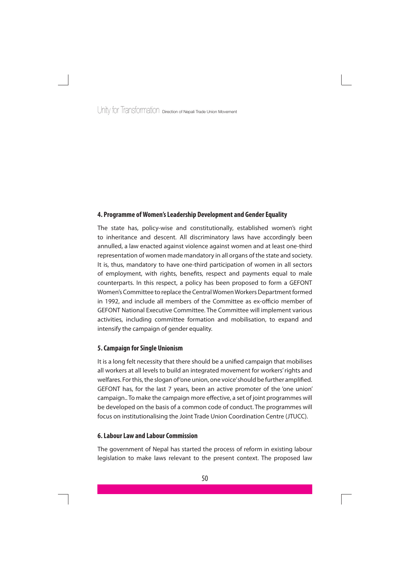### **4. Programme of Women's Leadership Development and Gender Equality**

The state has, policy-wise and constitutionally, established women's right to inheritance and descent. All discriminatory laws have accordingly been annulled, a law enacted against violence against women and at least one-third representation of women made mandatory in all organs of the state and society. It is, thus, mandatory to have one-third participation of women in all sectors of employment, with rights, benefits, respect and payments equal to male counterparts. In this respect, a policy has been proposed to form a GEFONT Women's Committee to replace the Central Women Workers Department formed in 1992, and include all members of the Committee as ex-officio member of GEFONT National Executive Committee. The Committee will implement various activities, including committee formation and mobilisation, to expand and intensify the campaign of gender equality.

### **5. Campaign for Single Unionism**

It is a long felt necessity that there should be a unified campaign that mobilises all workers at all levels to build an integrated movement for workers' rights and welfares. For this, the slogan of 'one union, one voice' should be further amplified. GEFONT has, for the last 7 years, been an active promoter of the 'one union' campaign.. To make the campaign more effective, a set of joint programmes will be developed on the basis of a common code of conduct. The programmes will focus on institutionalising the Joint Trade Union Coordination Centre (JTUCC).

### **6. Labour Law and Labour Commission**

The government of Nepal has started the process of reform in existing labour legislation to make laws relevant to the present context. The proposed law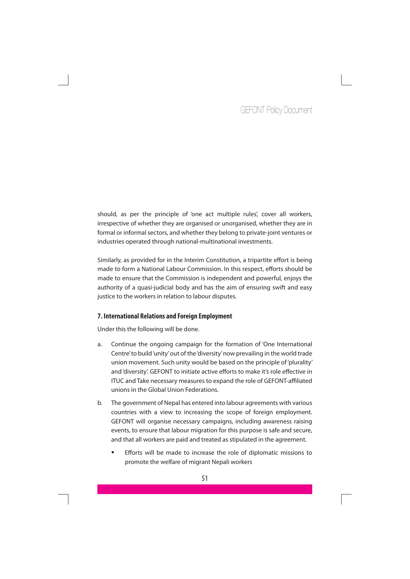should, as per the principle of 'one act multiple rules', cover all workers, irrespective of whether they are organised or unorganised, whether they are in formal or informal sectors, and whether they belong to private-joint ventures or industries operated through national-multinational investments.

Similarly, as provided for in the Interim Constitution, a tripartite effort is being made to form a National Labour Commission. In this respect, efforts should be made to ensure that the Commission is independent and powerful, enjoys the authority of a quasi-judicial body and has the aim of ensuring swift and easy justice to the workers in relation to labour disputes.

### **7. International Relations and Foreign Employment**

Under this the following will be done.

- a. Continue the ongoing campaign for the formation of 'One International Centre' to build 'unity' out of the 'diversity' now prevailing in the world trade union movement. Such unity would be based on the principle of 'plurality' and 'diversity'. GEFONT to initiate active efforts to make it's role effective in ITUC and Take necessary measures to expand the role of GEFONT-affiliated unions in the Global Union Federations.
- b. The government of Nepal has entered into labour agreements with various countries with a view to increasing the scope of foreign employment. GEFONT will organise necessary campaigns, including awareness raising events, to ensure that labour migration for this purpose is safe and secure, and that all workers are paid and treated as stipulated in the agreement.
	- Efforts will be made to increase the role of diplomatic missions to promote the welfare of migrant Nepali workers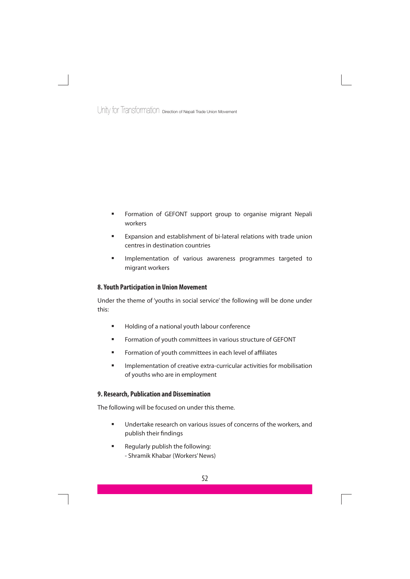- **F** Formation of GEFONT support group to organise migrant Nepali workers
- Expansion and establishment of bi-lateral relations with trade union centres in destination countries
- **Implementation of various awareness programmes targeted to** migrant workers

#### **8. Youth Participation in Union Movement**

Under the theme of 'youths in social service' the following will be done under this:

- **Holding of a national youth labour conference**
- **FILIPT** Formation of youth committees in various structure of GEFONT
- Formation of youth committees in each level of affiliates
- **IMPLEMENTER Implementation of creative extra-curricular activities for mobilisation** of youths who are in employment

#### **9. Research, Publication and Dissemination**

The following will be focused on under this theme.

- **Undertake research on various issues of concerns of the workers, and** publish their findings
- Regularly publish the following: - Shramik Khabar (Workers' News)

52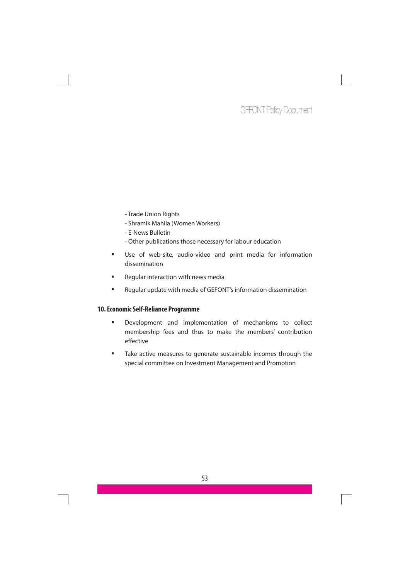- Trade Union Rights
- Shramik Mahila (Women Workers)
- E-News Bulletin
- Other publications those necessary for labour education
- Use of web-site, audio-video and print media for information dissemination
- **Regular interaction with news media**
- Regular update with media of GEFONT's information dissemination

#### **10. Economic Self-Reliance Programme**

- **Development and implementation of mechanisms to collect** membership fees and thus to make the members' contribution effective
- Take active measures to generate sustainable incomes through the special committee on Investment Management and Promotion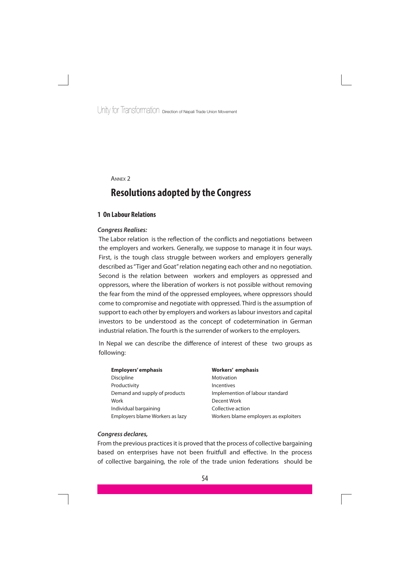ANNEY<sub>2</sub>

# **Resolutions adopted by the Congress**

### **1 On Labour Relations**

#### *Congress Realises:*

The Labor relation is the reflection of the conflicts and negotiations between the employers and workers. Generally, we suppose to manage it in four ways. First, is the tough class struggle between workers and employers generally described as "Tiger and Goat" relation negating each other and no negotiation. Second is the relation between workers and employers as oppressed and oppressors, where the liberation of workers is not possible without removing the fear from the mind of the oppressed employees, where oppressors should come to compromise and negotiate with oppressed. Third is the assumption of support to each other by employers and workers as labour investors and capital investors to be understood as the concept of codetermination in German industrial relation. The fourth is the surrender of workers to the employers.

In Nepal we can describe the difference of interest of these two groups as following:

#### **Employers' emphasis Workers' emphasis**

Discipline Motivation Productivity **Incentives** Demand and supply of products Implemention of labour standard Work Decent Work Individual bargaining The Collective action

Employers blame Workers as lazy Workers blame employers as exploiters

#### *Congress declares,*

From the previous practices it is proved that the process of collective bargaining based on enterprises have not been fruitfull and effective. In the process of collective bargaining, the role of the trade union federations should be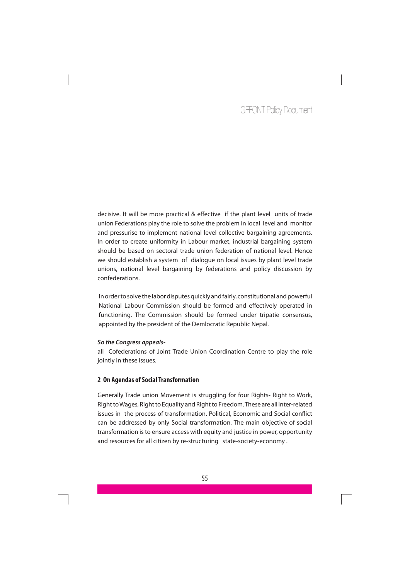decisive. It will be more practical & effective if the plant level units of trade union Federations play the role to solve the problem in local level and monitor and pressurise to implement national level collective bargaining agreements. In order to create uniformity in Labour market, industrial bargaining system should be based on sectoral trade union federation of national level. Hence we should establish a system of dialogue on local issues by plant level trade unions, national level bargaining by federations and policy discussion by confederations.

In order to solve the labor disputes quickly and fairly, constitutional and powerful National Labour Commission should be formed and effectively operated in functioning. The Commission should be formed under tripatie consensus, appointed by the president of the Demlocratic Republic Nepal.

#### *So the Congress appeals-*

all Cofederations of Joint Trade Union Coordination Centre to play the role jointly in these issues.

#### **2 On Agendas of Social Transformation**

Generally Trade union Movement is struggling for four Rights- Right to Work, Right to Wages, Right to Equality and Right to Freedom. These are all inter-related issues in the process of transformation. Political, Economic and Social conflict can be addressed by only Social transformation. The main objective of social transformation is to ensure access with equity and justice in power, opportunity and resources for all citizen by re-structuring state-society-economy .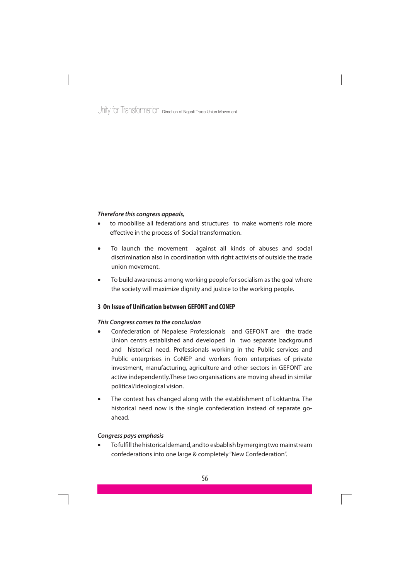#### *Therefore this congress appeals,*

- to moobilise all federations and structures to make women's role more effective in the process of Social transformation.
- To launch the movement against all kinds of abuses and social discrimination also in coordination with right activists of outside the trade union movement.
- To build awareness among working people for socialism as the goal where the society will maximize dignity and justice to the working people.

### **3 On Issue of Unification between GEFONT and CONEP**

#### *This Congress comes to the conclusion*

- Confederation of Nepalese Professionals and GEFONT are the trade Union centrs established and developed in two separate background and historical need. Professionals working in the Public services and Public enterprises in CoNEP and workers from enterprises of private investment, manufacturing, agriculture and other sectors in GEFONT are active independently.These two organisations are moving ahead in similar political/ideological vision.
- The context has changed along with the establishment of Loktantra. The historical need now is the single confederation instead of separate goahead.

#### *Congress pays emphasis*

To fulfill the historical demand, and to esbablish by merging two mainstream confederations into one large & completely "New Confederation".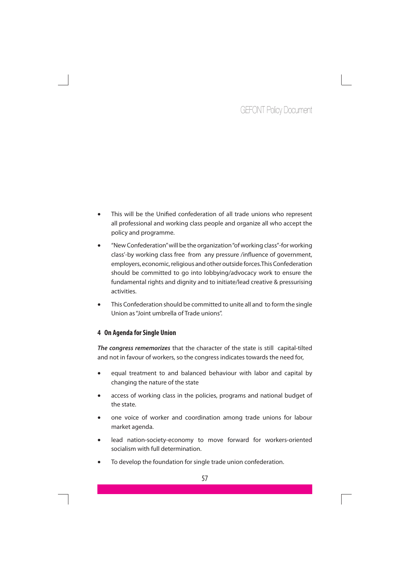- This will be the Unified confederation of all trade unions who represent all professional and working class people and organize all who accept the policy and programme.
- "New Confederation" will be the organization "of working class"-for working class'-by working class free from any pressure /influence of government, employers, economic, religious and other outside forces.This Confederation should be committed to go into lobbying/advocacy work to ensure the fundamental rights and dignity and to initiate/lead creative & pressurising activities.
- This Confederation should be committed to unite all and to form the single Union as "Joint umbrella of Trade unions".

### **4 On Agenda for Single Union**

*The congress rememorizes* that the character of the state is still capital-tilted and not in favour of workers, so the congress indicates towards the need for,

- equal treatment to and balanced behaviour with labor and capital by changing the nature of the state
- access of working class in the policies, programs and national budget of the state.
- one voice of worker and coordination among trade unions for labour market agenda.
- lead nation-society-economy to move forward for workers-oriented socialism with full determination.
- To develop the foundation for single trade union confederation.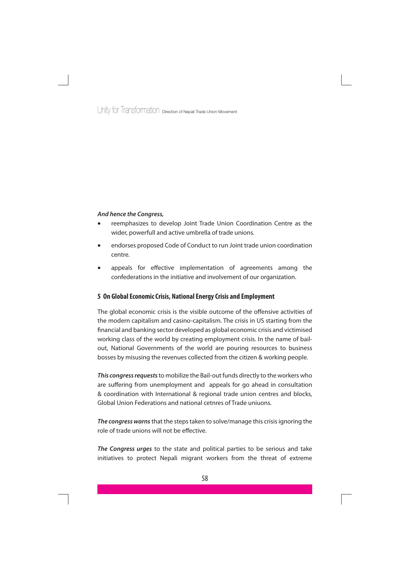#### *And hence the Congress,*

- reemphasizes to develop Joint Trade Union Coordination Centre as the wider, powerfull and active umbrella of trade unions.
- endorses proposed Code of Conduct to run Joint trade union coordination centre.
- appeals for effective implementation of agreements among the confederations in the initiative and involvement of our organization.

#### **5 On Global Economic Crisis, National Energy Crisis and Employment**

The global economic crisis is the visible outcome of the offensive activities of the modern capitalism and casino-capitalism. The crisis in US starting from the financial and banking sector developed as global economic crisis and victimised working class of the world by creating employment crisis. In the name of bailout, National Governments of the world are pouring resources to business bosses by misusing the revenues collected from the citizen & working people.

*This congress requests* to mobilize the Bail-out funds directly to the workers who are suffering from unemployment and appeals for go ahead in consultation & coordination with International & regional trade union centres and blocks, Global Union Federations and national cetnres of Trade uniuons.

*The congress warns* that the steps taken to solve/manage this crisis ignoring the role of trade unions will not be effective.

*The Congress urges* to the state and political parties to be serious and take initiatives to protect Nepali migrant workers from the threat of extreme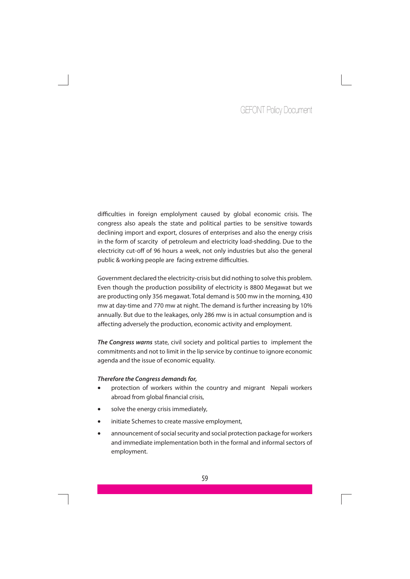difficulties in foreign emplolyment caused by global economic crisis. The congress also apeals the state and political parties to be sensitive towards declining import and export, closures of enterprises and also the energy crisis in the form of scarcity of petroleum and electricity load-shedding. Due to the electricity cut-off of 96 hours a week, not only industries but also the general public & working people are facing extreme difficulties.

Government declared the electricity-crisis but did nothing to solve this problem. Even though the production possibility of electricity is 8800 Megawat but we are producting only 356 megawat. Total demand is 500 mw in the morning, 430 mw at day-time and 770 mw at night. The demand is further increasing by 10% annually. But due to the leakages, only 286 mw is in actual consumption and is affecting adversely the production, economic activity and employment.

*The Congress warns* state, civil society and political parties to implement the commitments and not to limit in the lip service by continue to ignore economic agenda and the issue of economic equality.

#### *Therefore the Congress demands for,*

- protection of workers within the country and migrant Nepali workers abroad from global financial crisis,
- solve the energy crisis immediately,
- initiate Schemes to create massive employment,
- announcement of social security and social protection package for workers and immediate implementation both in the formal and informal sectors of employment.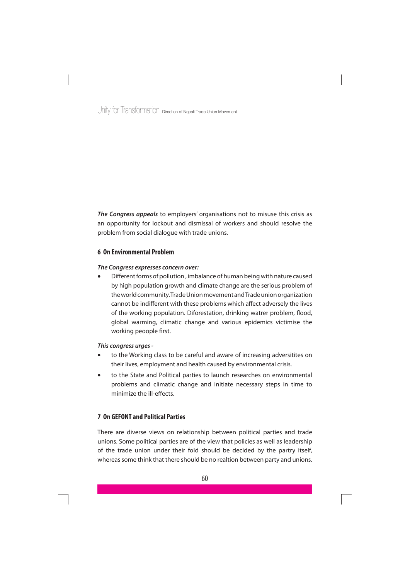*The Congress appeals* to employers' organisations not to misuse this crisis as an opportunity for lockout and dismissal of workers and should resolve the problem from social dialogue with trade unions.

### **6 On Environmental Problem**

#### *The Congress expresses concern over:*

Different forms of pollution, imbalance of human being with nature caused by high population growth and climate change are the serious problem of the world community. Trade Union movement and Trade union organization cannot be indifferent with these problems which affect adversely the lives of the working population. Diforestation, drinking watrer problem, flood, global warming, climatic change and various epidemics victimise the working peoople first.

#### *This congress urges -*

- to the Working class to be careful and aware of increasing adversitites on their lives, employment and health caused by environmental crisis.
- to the State and Political parties to launch researches on environmental problems and climatic change and initiate necessary steps in time to minimize the ill-effects.

#### **7 On GEFONT and Political Parties**

There are diverse views on relationship between political parties and trade unions. Some political parties are of the view that policies as well as leadership of the trade union under their fold should be decided by the partry itself, whereas some think that there should be no realtion between party and unions.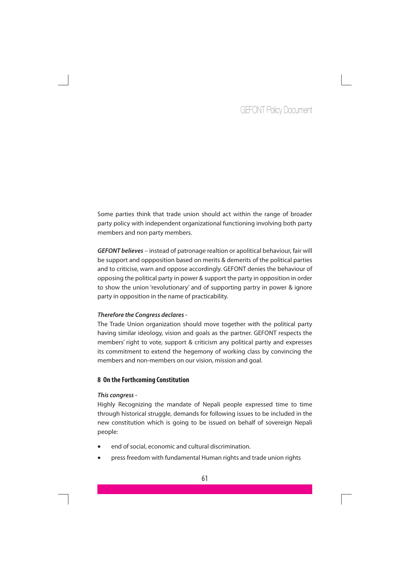Some parties think that trade union should act within the range of broader party policy with independent organizational functioning involving both party members and non party members.

*GEFONT believes* – instead of patronage realtion or apolitical behaviour, fair will be support and oppposition based on merits & demerits of the political parties and to criticise, warn and oppose accordingly. GEFONT denies the behaviour of opposing the political party in power & support the party in opposition in order to show the union 'revolutionary' and of supporting partry in power & ignore party in opposition in the name of practicability.

#### *Therefore the Congress declares -*

The Trade Union organization should move together with the political party having similar ideology, vision and goals as the partner. GEFONT respects the members' right to vote, support & criticism any political partiy and expresses its commitment to extend the hegemony of working class by convincing the members and non-members on our vision, mission and goal.

### **8 On the Forthcoming Constitution**

#### *This congress -*

Highly Recognizing the mandate of Nepali people expressed time to time through historical struggle, demands for following issues to be included in the new constitution which is going to be issued on behalf of sovereign Nepali people:

- end of social, economic and cultural discrimination.
- press freedom with fundamental Human rights and trade union rights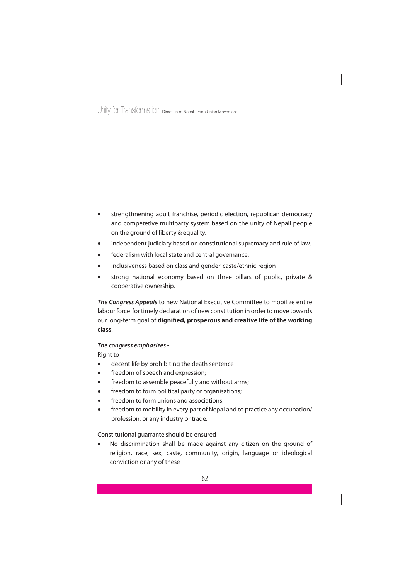- strengthnening adult franchise, periodic election, republican democracy and competetive multiparty system based on the unity of Nepali people on the ground of liberty & equality.
- independent judiciary based on constitutional supremacy and rule of law.
- federalism with local state and central governance.
- inclusiveness based on class and gender-caste/ethnic-region
- strong national economy based on three pillars of public, private & cooperative ownership.

*The Congress Appeals* to new National Executive Committee to mobilize entire labour force for timely declaration of new constitution in order to move towards our long-term goal of **dignified, prosperous and creative life of the working class**.

# *The congress emphasizes -*

Right to

- decent life by prohibiting the death sentence
- freedom of speech and expression;
- freedom to assemble peacefully and without arms;
- freedom to form political party or organisations;
- freedom to form unions and associations;
- freedom to mobility in every part of Nepal and to practice any occupation/ profession, or any industry or trade.

Constitutional guarrante should be ensured

 No discrimination shall be made against any citizen on the ground of religion, race, sex, caste, community, origin, language or ideological conviction or any of these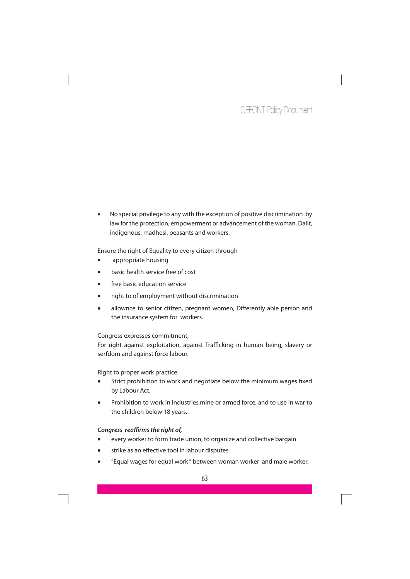# GEFONT Policy Document

 No special privilege to any with the exception of positive discrimination by law for the protection, empowerment or advancement of the woman, Dalit, indigenous, madhesi, peasants and workers.

Ensure the right of Equality to every citizen through

- appropriate housing
- basic health service free of cost
- free basic education service
- right to of employment without discrimination
- allownce to senior citizen, pregnant women, Differently able person and the insurance system for workers.

# Congress expresses commitment,

For right against exploitation, against Trafficking in human being, slavery or serfdom and against force labour.

Right to proper work practice.

- Strict prohibition to work and negotiate below the minimum wages fixed by Labour Act.
- Prohibition to work in industries,mine or armed force, and to use in war to the children below 18 years.

# *Congress reaffi rms the right of,*

- every worker to form trade union, to organize and collective bargain
- strike as an effective tool in labour disputes.
- "Equal wages for equal work " between woman worker and male worker.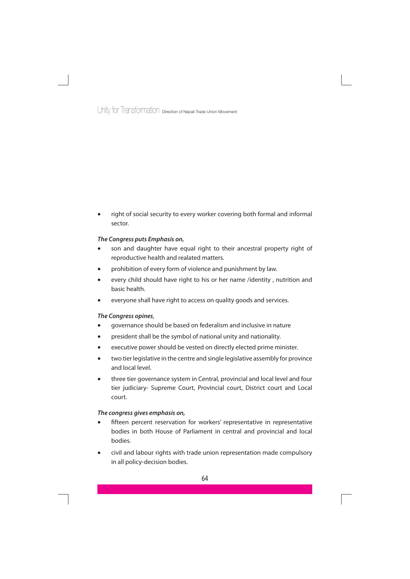right of social security to every worker covering both formal and informal sector.

# *The Congress puts Emphasis on,*

- son and daughter have equal right to their ancestral property right of reproductive health and realated matters.
- prohibition of every form of violence and punishment by law.
- every child should have right to his or her name /identity , nutrition and basic health.
- everyone shall have right to access on quality goods and services.

# *The Congress opines*,

- governance should be based on federalism and inclusive in nature
- president shall be the symbol of national unity and nationality.
- executive power should be vested on directly elected prime minister.
- two tier legislative in the centre and single legislative assembly for province and local level.
- three tier governance system in Central, provincial and local level and four tier judiciary- Supreme Court, Provincial court, District court and Local court.

# *The congress gives emphasis on,*

- fifteen percent reservation for workers' representative in representative bodies in both House of Parliament in central and provincial and local bodies.
- civil and labour rights with trade union representation made compulsory in all policy-decision bodies.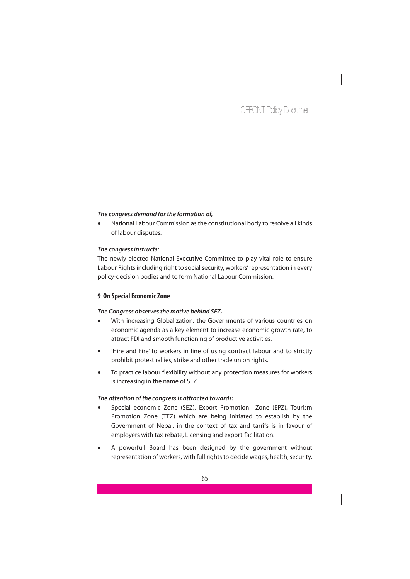# *The congress demand for the formation of,*

 National Labour Commission as the constitutional body to resolve all kinds of labour disputes.

# *The congress instructs:*

The newly elected National Executive Committee to play vital role to ensure Labour Rights including right to social security, workers' representation in every policy-decision bodies and to form National Labour Commission.

# **9 On Special Economic Zone**

# *The Congress observes the motive behind SEZ,*

- With increasing Globalization, the Governments of various countries on economic agenda as a key element to increase economic growth rate, to attract FDI and smooth functioning of productive activities.
- 'Hire and Fire' to workers in line of using contract labour and to strictly prohibit protest rallies, strike and other trade union rights.
- To practice labour flexibility without any protection measures for workers is increasing in the name of SEZ

# *The attention of the congress is attracted towards:*

- Special economic Zone (SEZ), Export Promotion Zone (EPZ), Tourism Promotion Zone (TEZ) which are being initiated to establish by the Government of Nepal, in the context of tax and tarrifs is in favour of employers with tax-rebate, Licensing and export-facilitation.
- A powerfull Board has been designed by the government without representation of workers, with full rights to decide wages, health, security,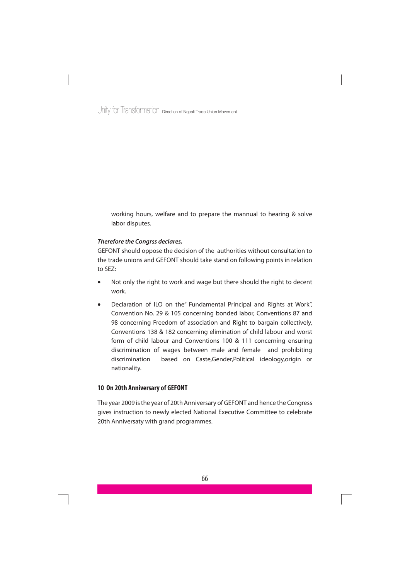working hours, welfare and to prepare the mannual to hearing & solve labor disputes.

# *Therefore the Congrss declares,*

GEFONT should oppose the decision of the authorities without consultation to the trade unions and GEFONT should take stand on following points in relation to SEZ:

- Not only the right to work and wage but there should the right to decent work.
- Declaration of ILO on the" Fundamental Principal and Rights at Work", Convention No. 29 & 105 concerning bonded labor, Conventions 87 and 98 concerning Freedom of association and Right to bargain collectively, Conventions 138 & 182 concerning elimination of child labour and worst form of child labour and Conventions 100 & 111 concerning ensuring discrimination of wages between male and female and prohibiting discrimination based on Caste,Gender,Political ideology,origin or nationality.

# **10 On 20th Anniversary of GEFONT**

The year 2009 is the year of 20th Anniversary of GEFONT and hence the Congress gives instruction to newly elected National Executive Committee to celebrate 20th Anniversaty with grand programmes.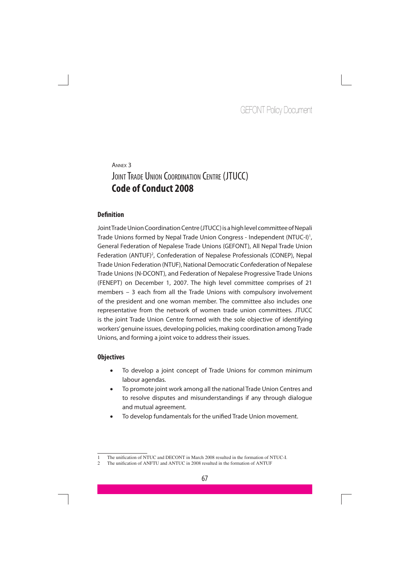# ANNEX 3 **JOINT TRADE UNION COORDINATION CENTRE (JTUCC) Code of Conduct 2008**

# **Definition**

Joint Trade Union Coordination Centre (JTUCC) is a high level committee of Nepali Trade Unions formed by Nepal Trade Union Congress - Independent (NTUC-I)<sup>1</sup>, General Federation of Nepalese Trade Unions (GEFONT), All Nepal Trade Union Federation (ANTUF)<sup>2</sup>, Confederation of Nepalese Professionals (CONEP), Nepal Trade Union Federation (NTUF), National Democratic Confederation of Nepalese Trade Unions (N-DCONT), and Federation of Nepalese Progressive Trade Unions (FENEPT) on December 1, 2007. The high level committee comprises of 21 members – 3 each from all the Trade Unions with compulsory involvement of the president and one woman member. The committee also includes one representative from the network of women trade union committees. JTUCC is the joint Trade Union Centre formed with the sole objective of identifying workers' genuine issues, developing policies, making coordination among Trade Unions, and forming a joint voice to address their issues.

# **Objectives**

- To develop a joint concept of Trade Unions for common minimum labour agendas.
- To promote joint work among all the national Trade Union Centres and to resolve disputes and misunderstandings if any through dialogue and mutual agreement.
- To develop fundamentals for the unified Trade Union movement.

<sup>1</sup> The unifi cation of NTUC and DECONT in March 2008 resulted in the formation of NTUC-I.

<sup>2</sup> The unification of ANFTU and ANTUC in 2008 resulted in the formation of ANTUF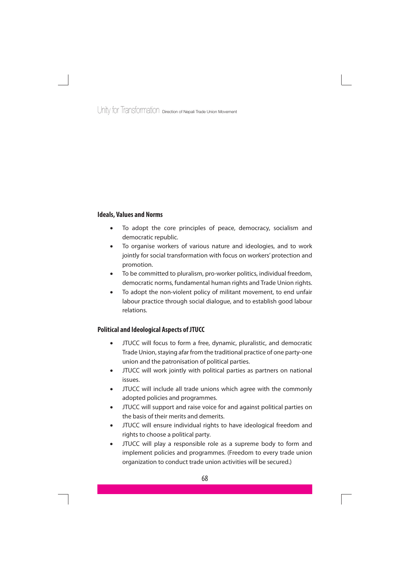# **Ideals, Values and Norms**

- To adopt the core principles of peace, democracy, socialism and democratic republic.
- To organise workers of various nature and ideologies, and to work jointly for social transformation with focus on workers' protection and promotion.
- To be committed to pluralism, pro-worker politics, individual freedom, democratic norms, fundamental human rights and Trade Union rights.
- To adopt the non-violent policy of militant movement, to end unfair labour practice through social dialogue, and to establish good labour relations.

# **Political and Ideological Aspects of JTUCC**

- JTUCC will focus to form a free, dynamic, pluralistic, and democratic Trade Union, staying afar from the traditional practice of one party-one union and the patronisation of political parties.
- JTUCC will work jointly with political parties as partners on national issues.
- JTUCC will include all trade unions which agree with the commonly adopted policies and programmes.
- JTUCC will support and raise voice for and against political parties on the basis of their merits and demerits.
- JTUCC will ensure individual rights to have ideological freedom and rights to choose a political party.
- JTUCC will play a responsible role as a supreme body to form and implement policies and programmes. (Freedom to every trade union organization to conduct trade union activities will be secured.)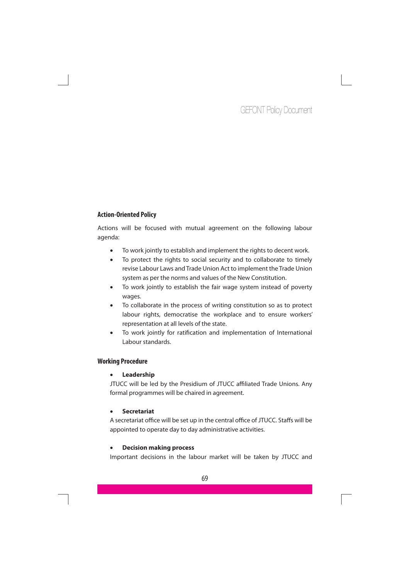# **Action-Oriented Policy**

Actions will be focused with mutual agreement on the following labour agenda:

- To work jointly to establish and implement the rights to decent work.
- To protect the rights to social security and to collaborate to timely revise Labour Laws and Trade Union Act to implement the Trade Union system as per the norms and values of the New Constitution.
- To work jointly to establish the fair wage system instead of poverty wages.
- To collaborate in the process of writing constitution so as to protect labour rights, democratise the workplace and to ensure workers' representation at all levels of the state.
- To work jointly for ratification and implementation of International Labour standards.

# **Working Procedure**

# **Leadership**

JTUCC will be led by the Presidium of JTUCC affiliated Trade Unions. Any formal programmes will be chaired in agreement.

# **Secretariat**

A secretariat office will be set up in the central office of JTUCC. Staffs will be appointed to operate day to day administrative activities.

# **Decision making process**

Important decisions in the labour market will be taken by JTUCC and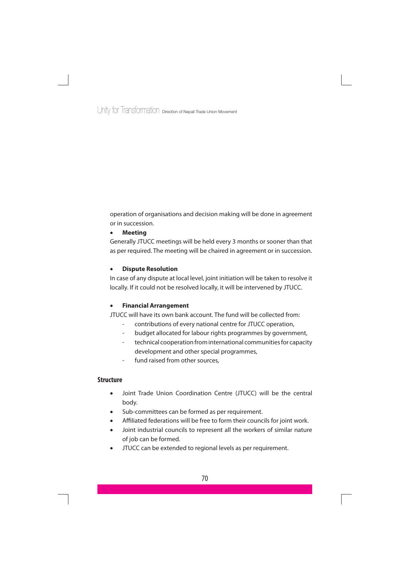operation of organisations and decision making will be done in agreement or in succession.

# **Meeting**

Generally JTUCC meetings will be held every 3 months or sooner than that as per required. The meeting will be chaired in agreement or in succession.

# **Dispute Resolution**

In case of any dispute at local level, joint initiation will be taken to resolve it locally. If it could not be resolved locally, it will be intervened by JTUCC.

# **Financial Arrangement**

JTUCC will have its own bank account. The fund will be collected from:

- contributions of every national centre for JTUCC operation,
- budget allocated for labour rights programmes by government,
- technical cooperation from international communities for capacity development and other special programmes,
- fund raised from other sources,

# **Structure**

- Joint Trade Union Coordination Centre (JTUCC) will be the central body.
- Sub-committees can be formed as per requirement.
- Affiliated federations will be free to form their councils for joint work.
- Joint industrial councils to represent all the workers of similar nature of job can be formed.
- JTUCC can be extended to regional levels as per requirement.